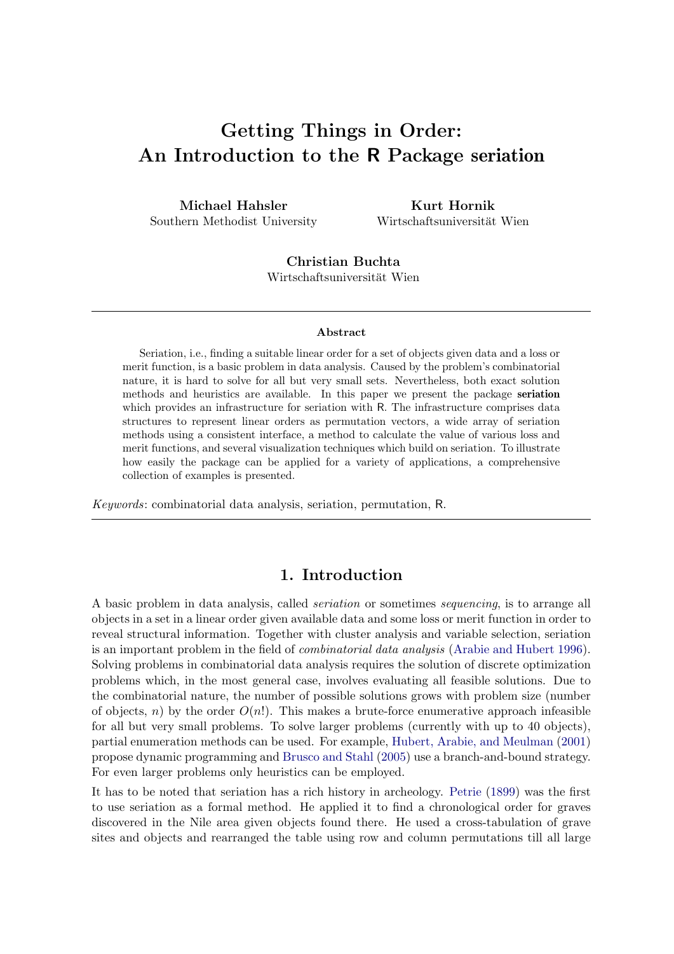# Getting Things in Order: An Introduction to the R Package seriation

Michael Hahsler Southern Methodist University

Kurt Hornik Wirtschaftsuniversität Wien

Christian Buchta Wirtschaftsuniversität Wien

#### Abstract

Seriation, i.e., finding a suitable linear order for a set of objects given data and a loss or merit function, is a basic problem in data analysis. Caused by the problem's combinatorial nature, it is hard to solve for all but very small sets. Nevertheless, both exact solution methods and heuristics are available. In this paper we present the package seriation which provides an infrastructure for seriation with R. The infrastructure comprises data structures to represent linear orders as permutation vectors, a wide array of seriation methods using a consistent interface, a method to calculate the value of various loss and merit functions, and several visualization techniques which build on seriation. To illustrate how easily the package can be applied for a variety of applications, a comprehensive collection of examples is presented.

Keywords: combinatorial data analysis, seriation, permutation, R.

# 1. Introduction

A basic problem in data analysis, called *seriation* or sometimes *sequencing*, is to arrange all objects in a set in a linear order given available data and some loss or merit function in order to reveal structural information. Together with cluster analysis and variable selection, seriation is an important problem in the field of combinatorial data analysis [\(Arabie and Hubert 1996\)](#page-33-0). Solving problems in combinatorial data analysis requires the solution of discrete optimization problems which, in the most general case, involves evaluating all feasible solutions. Due to the combinatorial nature, the number of possible solutions grows with problem size (number of objects, n) by the order  $O(n!)$ . This makes a brute-force enumerative approach infeasible for all but very small problems. To solve larger problems (currently with up to 40 objects), partial enumeration methods can be used. For example, [Hubert, Arabie, and Meulman](#page-35-0) [\(2001\)](#page-35-0) propose dynamic programming and [Brusco and Stahl](#page-33-1) [\(2005\)](#page-33-1) use a branch-and-bound strategy. For even larger problems only heuristics can be employed.

It has to be noted that seriation has a rich history in archeology. [Petrie](#page-36-0) [\(1899\)](#page-36-0) was the first to use seriation as a formal method. He applied it to find a chronological order for graves discovered in the Nile area given objects found there. He used a cross-tabulation of grave sites and objects and rearranged the table using row and column permutations till all large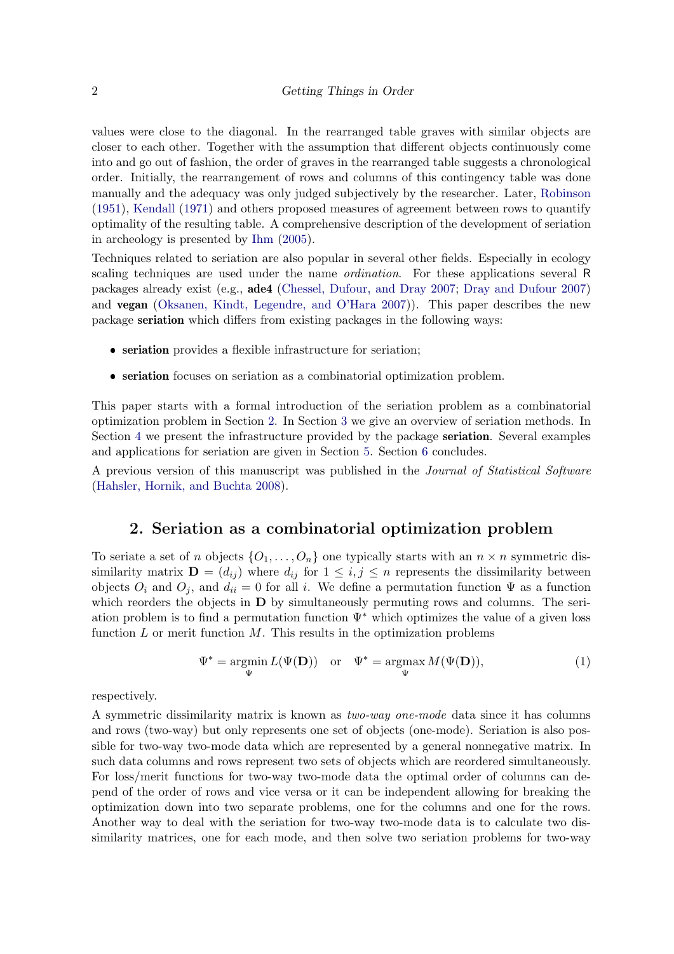values were close to the diagonal. In the rearranged table graves with similar objects are closer to each other. Together with the assumption that different objects continuously come into and go out of fashion, the order of graves in the rearranged table suggests a chronological order. Initially, the rearrangement of rows and columns of this contingency table was done manually and the adequacy was only judged subjectively by the researcher. Later, [Robinson](#page-36-1) [\(1951\)](#page-36-1), [Kendall](#page-35-1) [\(1971\)](#page-35-1) and others proposed measures of agreement between rows to quantify optimality of the resulting table. A comprehensive description of the development of seriation in archeology is presented by [Ihm](#page-35-2) [\(2005\)](#page-35-2).

Techniques related to seriation are also popular in several other fields. Especially in ecology scaling techniques are used under the name *ordination*. For these applications several R packages already exist (e.g., ade4 [\(Chessel, Dufour, and Dray 2007;](#page-34-0) [Dray and Dufour 2007\)](#page-34-1) and vegan [\(Oksanen, Kindt, Legendre, and O'Hara 2007\)](#page-36-2)). This paper describes the new package seriation which differs from existing packages in the following ways:

- seriation provides a flexible infrastructure for seriation;
- ❼ seriation focuses on seriation as a combinatorial optimization problem.

This paper starts with a formal introduction of the seriation problem as a combinatorial optimization problem in Section [2.](#page-1-0) In Section [3](#page-6-0) we give an overview of seriation methods. In Section [4](#page-9-0) we present the infrastructure provided by the package seriation. Several examples and applications for seriation are given in Section [5.](#page-13-0) Section [6](#page-32-0) concludes.

A previous version of this manuscript was published in the Journal of Statistical Software [\(Hahsler, Hornik, and Buchta 2008\)](#page-35-3).

# 2. Seriation as a combinatorial optimization problem

<span id="page-1-0"></span>To seriate a set of n objects  $\{O_1, \ldots, O_n\}$  one typically starts with an  $n \times n$  symmetric dissimilarity matrix  $\mathbf{D} = (d_{ij})$  where  $d_{ij}$  for  $1 \leq i, j \leq n$  represents the dissimilarity between objects  $O_i$  and  $O_j$ , and  $d_{ii} = 0$  for all i. We define a permutation function  $\Psi$  as a function which reorders the objects in  **by simultaneously permuting rows and columns. The seri**ation problem is to find a permutation function  $\Psi^*$  which optimizes the value of a given loss function  $L$  or merit function  $M$ . This results in the optimization problems

$$
\Psi^* = \underset{\Psi}{\text{argmin}} L(\Psi(\mathbf{D})) \quad \text{or} \quad \Psi^* = \underset{\Psi}{\text{argmax}} M(\Psi(\mathbf{D})), \tag{1}
$$

respectively.

A symmetric dissimilarity matrix is known as two-way one-mode data since it has columns and rows (two-way) but only represents one set of objects (one-mode). Seriation is also possible for two-way two-mode data which are represented by a general nonnegative matrix. In such data columns and rows represent two sets of objects which are reordered simultaneously. For loss/merit functions for two-way two-mode data the optimal order of columns can depend of the order of rows and vice versa or it can be independent allowing for breaking the optimization down into two separate problems, one for the columns and one for the rows. Another way to deal with the seriation for two-way two-mode data is to calculate two dissimilarity matrices, one for each mode, and then solve two seriation problems for two-way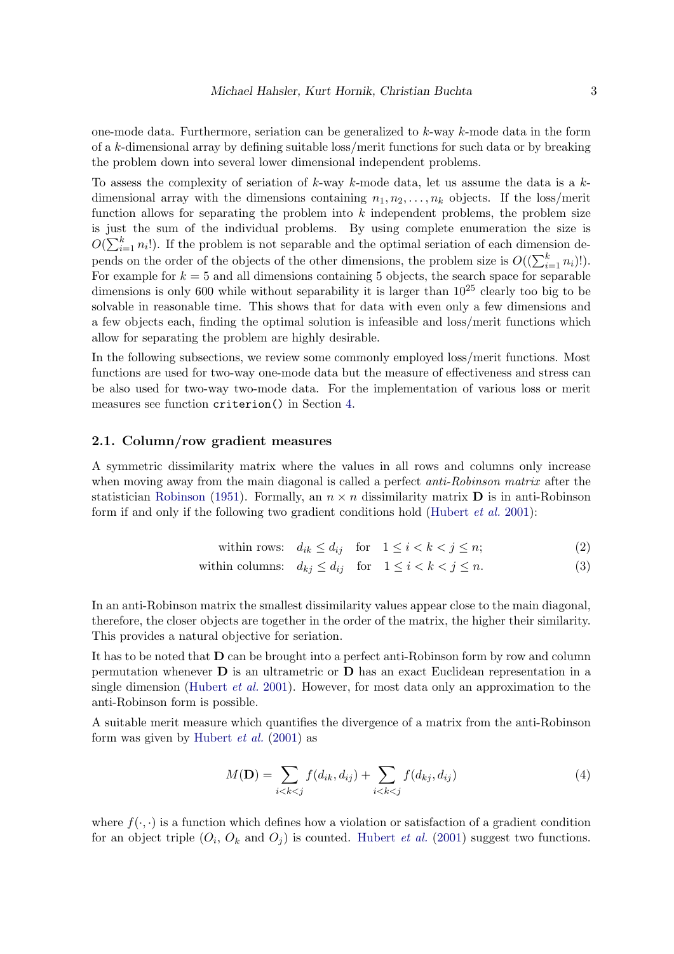one-mode data. Furthermore, seriation can be generalized to k-way k-mode data in the form of a k-dimensional array by defining suitable loss/merit functions for such data or by breaking the problem down into several lower dimensional independent problems.

To assess the complexity of seriation of k-way k-mode data, let us assume the data is a  $k$ dimensional array with the dimensions containing  $n_1, n_2, \ldots, n_k$  objects. If the loss/merit function allows for separating the problem into  $k$  independent problems, the problem size is just the sum of the individual problems. By using complete enumeration the size is  $O(\sum_{i=1}^{k} n_i!)$ . If the problem is not separable and the optimal seriation of each dimension depends on the order of the objects of the other dimensions, the problem size is  $O((\sum_{i=1}^{k} n_i)!)$ . For example for  $k = 5$  and all dimensions containing 5 objects, the search space for separable dimensions is only 600 while without separability it is larger than  $10^{25}$  clearly too big to be solvable in reasonable time. This shows that for data with even only a few dimensions and a few objects each, finding the optimal solution is infeasible and loss/merit functions which allow for separating the problem are highly desirable.

In the following subsections, we review some commonly employed loss/merit functions. Most functions are used for two-way one-mode data but the measure of effectiveness and stress can be also used for two-way two-mode data. For the implementation of various loss or merit measures see function criterion() in Section [4.](#page-9-0)

### 2.1. Column/row gradient measures

A symmetric dissimilarity matrix where the values in all rows and columns only increase when moving away from the main diagonal is called a perfect *anti-Robinson matrix* after the statistician [Robinson](#page-36-1) [\(1951\)](#page-36-1). Formally, an  $n \times n$  dissimilarity matrix **D** is in anti-Robinson form if and only if the following two gradient conditions hold [\(Hubert](#page-35-0) et al. [2001\)](#page-35-0):

$$
\text{within rows:} \quad d_{ik} \le d_{ij} \quad \text{for} \quad 1 \le i < k < j \le n; \tag{2}
$$

within columns: 
$$
d_{kj} \le d_{ij}
$$
 for  $1 \le i < k < j \le n$ . (3)

In an anti-Robinson matrix the smallest dissimilarity values appear close to the main diagonal, therefore, the closer objects are together in the order of the matrix, the higher their similarity. This provides a natural objective for seriation.

It has to be noted that D can be brought into a perfect anti-Robinson form by row and column permutation whenever  $\bf{D}$  is an ultrametric or  $\bf{D}$  has an exact Euclidean representation in a single dimension [\(Hubert](#page-35-0) *et al.* [2001\)](#page-35-0). However, for most data only an approximation to the anti-Robinson form is possible.

A suitable merit measure which quantifies the divergence of a matrix from the anti-Robinson form was given by [Hubert](#page-35-0) *et al.*  $(2001)$  as

$$
M(\mathbf{D}) = \sum_{i < k < j} f(d_{ik}, d_{ij}) + \sum_{i < k < j} f(d_{kj}, d_{ij}) \tag{4}
$$

where  $f(\cdot, \cdot)$  is a function which defines how a violation or satisfaction of a gradient condition for an object triple  $(O_i, O_k \text{ and } O_j)$  is counted. [Hubert](#page-35-0) *et al.* [\(2001\)](#page-35-0) suggest two functions.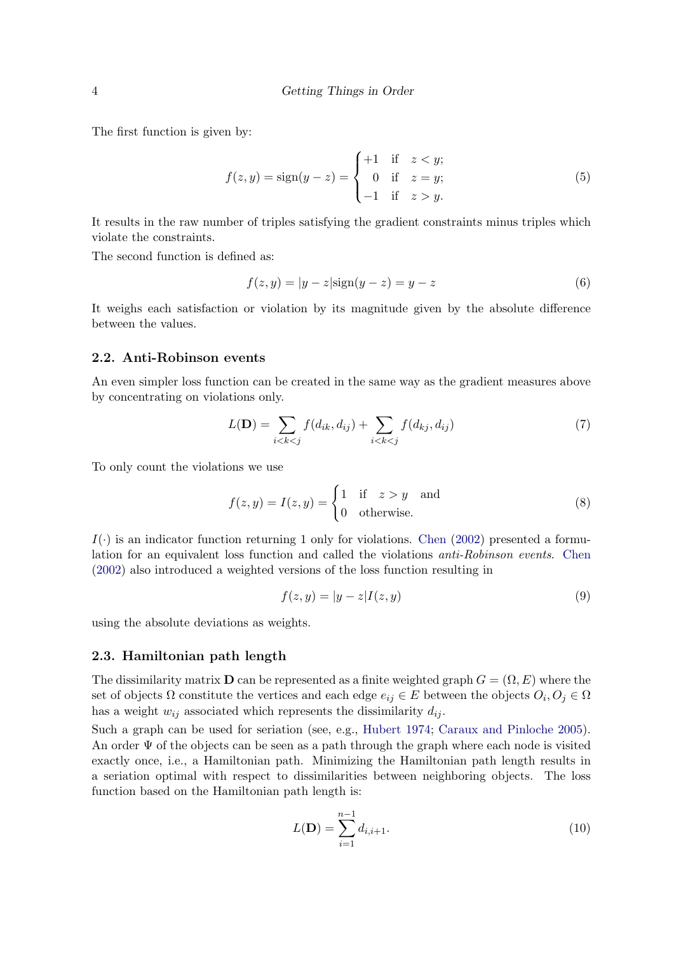The first function is given by:

$$
f(z, y) = sign(y - z) = \begin{cases} +1 & \text{if } z < y; \\ 0 & \text{if } z = y; \\ -1 & \text{if } z > y. \end{cases}
$$
 (5)

It results in the raw number of triples satisfying the gradient constraints minus triples which violate the constraints.

The second function is defined as:

$$
f(z, y) = |y - z| \text{sign}(y - z) = y - z \tag{6}
$$

It weighs each satisfaction or violation by its magnitude given by the absolute difference between the values.

## 2.2. Anti-Robinson events

An even simpler loss function can be created in the same way as the gradient measures above by concentrating on violations only.

$$
L(\mathbf{D}) = \sum_{i < k < j} f(d_{ik}, d_{ij}) + \sum_{i < k < j} f(d_{kj}, d_{ij}) \tag{7}
$$

To only count the violations we use

$$
f(z, y) = I(z, y) = \begin{cases} 1 & \text{if } z > y \text{ and} \\ 0 & \text{otherwise.} \end{cases}
$$
 (8)

 $I(\cdot)$  is an indicator function returning 1 only for violations. [Chen](#page-34-2) [\(2002\)](#page-34-2) presented a formulation for an equivalent loss function and called the violations anti-Robinson events. [Chen](#page-34-2) [\(2002\)](#page-34-2) also introduced a weighted versions of the loss function resulting in

$$
f(z, y) = |y - z| I(z, y)
$$
\n
$$
(9)
$$

using the absolute deviations as weights.

#### 2.3. Hamiltonian path length

The dissimilarity matrix **D** can be represented as a finite weighted graph  $G = (\Omega, E)$  where the set of objects  $\Omega$  constitute the vertices and each edge  $e_{ij} \in E$  between the objects  $O_i, O_j \in \Omega$ has a weight  $w_{ij}$  associated which represents the dissimilarity  $d_{ij}$ .

Such a graph can be used for seriation (see, e.g., [Hubert 1974;](#page-35-4) [Caraux and Pinloche 2005\)](#page-34-3). An order  $\Psi$  of the objects can be seen as a path through the graph where each node is visited exactly once, i.e., a Hamiltonian path. Minimizing the Hamiltonian path length results in a seriation optimal with respect to dissimilarities between neighboring objects. The loss function based on the Hamiltonian path length is:

$$
L(\mathbf{D}) = \sum_{i=1}^{n-1} d_{i,i+1}.
$$
 (10)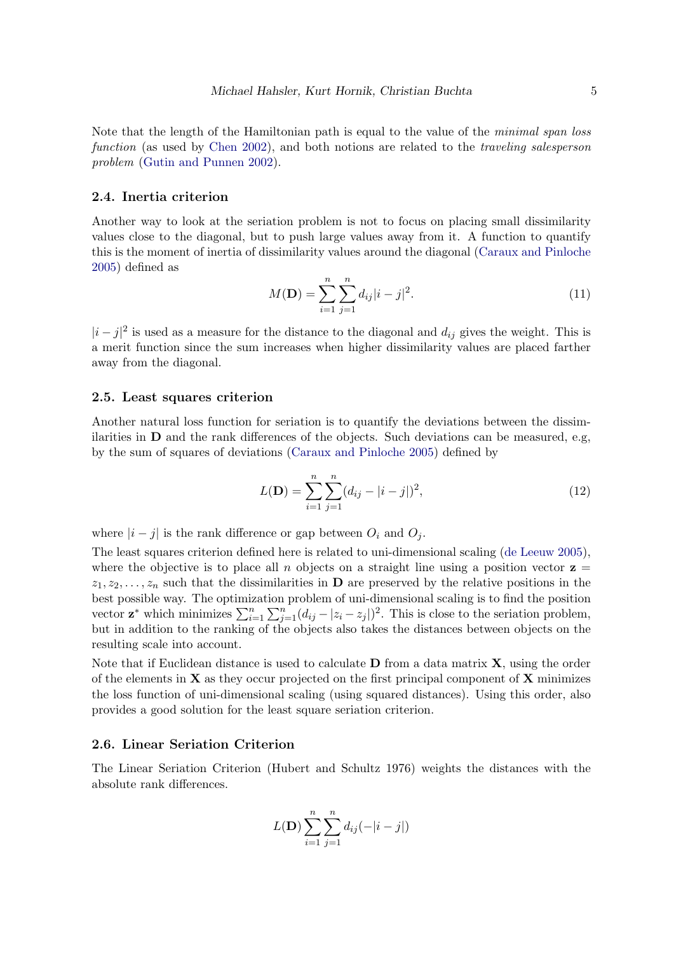Note that the length of the Hamiltonian path is equal to the value of the *minimal span loss* function (as used by [Chen 2002\)](#page-34-2), and both notions are related to the *traveling salesperson* problem [\(Gutin and Punnen 2002\)](#page-34-4).

#### 2.4. Inertia criterion

Another way to look at the seriation problem is not to focus on placing small dissimilarity values close to the diagonal, but to push large values away from it. A function to quantify this is the moment of inertia of dissimilarity values around the diagonal [\(Caraux and Pinloche](#page-34-3) [2005\)](#page-34-3) defined as

$$
M(\mathbf{D}) = \sum_{i=1}^{n} \sum_{j=1}^{n} d_{ij} |i - j|^2.
$$
 (11)

 $|i-j|^2$  is used as a measure for the distance to the diagonal and  $d_{ij}$  gives the weight. This is a merit function since the sum increases when higher dissimilarity values are placed farther away from the diagonal.

#### 2.5. Least squares criterion

Another natural loss function for seriation is to quantify the deviations between the dissimilarities in  **and the rank differences of the objects. Such deviations can be measured, e.g,** by the sum of squares of deviations [\(Caraux and Pinloche 2005\)](#page-34-3) defined by

$$
L(\mathbf{D}) = \sum_{i=1}^{n} \sum_{j=1}^{n} (d_{ij} - |i - j|)^2,
$$
\n(12)

where  $|i - j|$  is the rank difference or gap between  $O_i$  and  $O_j$ .

The least squares criterion defined here is related to uni-dimensional scaling [\(de Leeuw 2005\)](#page-34-5), where the objective is to place all n objects on a straight line using a position vector  $z =$  $z_1, z_2, \ldots, z_n$  such that the dissimilarities in **D** are preserved by the relative positions in the best possible way. The optimization problem of uni-dimensional scaling is to find the position vector  $\mathbf{z}^*$  which minimizes  $\sum_{i=1}^n \sum_{j=1}^n (d_{ij} - |z_i - z_j|)^2$ . This is close to the seriation problem, but in addition to the ranking of the objects also takes the distances between objects on the resulting scale into account.

Note that if Euclidean distance is used to calculate  $\bf{D}$  from a data matrix  $\bf{X}$ , using the order of the elements in  $X$  as they occur projected on the first principal component of  $X$  minimizes the loss function of uni-dimensional scaling (using squared distances). Using this order, also provides a good solution for the least square seriation criterion.

#### 2.6. Linear Seriation Criterion

The Linear Seriation Criterion (Hubert and Schultz 1976) weights the distances with the absolute rank differences.

$$
L(\mathbf{D}) \sum_{i=1}^{n} \sum_{j=1}^{n} d_{ij}(-|i-j|)
$$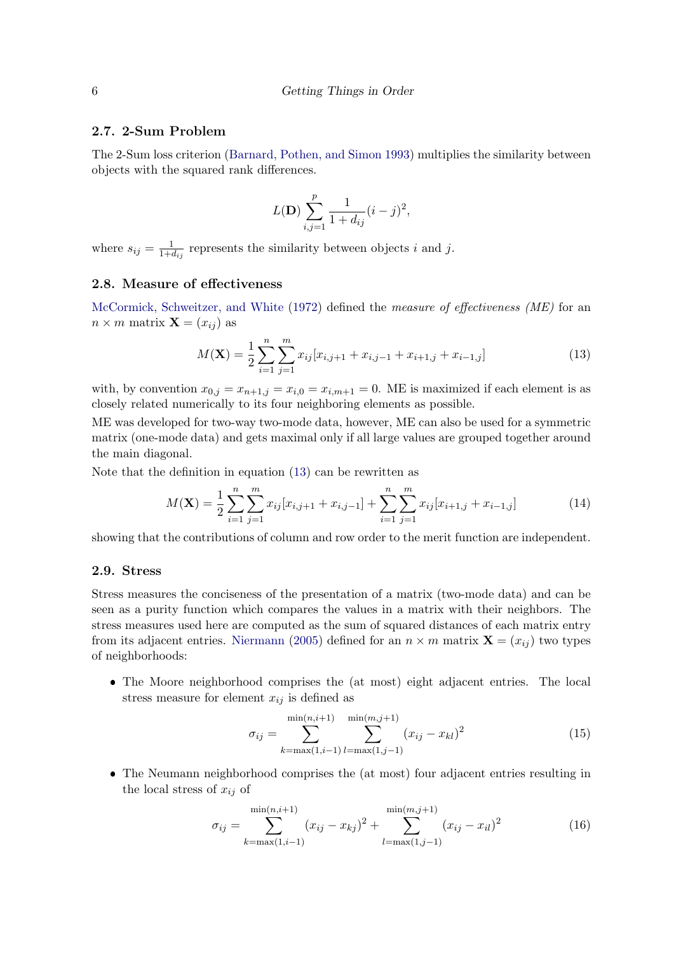# 2.7. 2-Sum Problem

The 2-Sum loss criterion [\(Barnard, Pothen, and Simon 1993\)](#page-33-2) multiplies the similarity between objects with the squared rank differences.

$$
L(\mathbf{D}) \sum_{i,j=1}^{p} \frac{1}{1 + d_{ij}} (i - j)^2,
$$

where  $s_{ij} = \frac{1}{1+d_{ij}}$  represents the similarity between objects i and j.

# <span id="page-5-1"></span>2.8. Measure of effectiveness

[McCormick, Schweitzer, and White](#page-35-5) [\(1972\)](#page-35-5) defined the measure of effectiveness (ME) for an  $n \times m$  matrix  $\mathbf{X} = (x_{ij})$  as

<span id="page-5-0"></span>
$$
M(\mathbf{X}) = \frac{1}{2} \sum_{i=1}^{n} \sum_{j=1}^{m} x_{ij} [x_{i,j+1} + x_{i,j-1} + x_{i+1,j} + x_{i-1,j}] \tag{13}
$$

with, by convention  $x_{0,j} = x_{n+1,j} = x_{i,0} = x_{i,m+1} = 0$ . ME is maximized if each element is as closely related numerically to its four neighboring elements as possible.

ME was developed for two-way two-mode data, however, ME can also be used for a symmetric matrix (one-mode data) and gets maximal only if all large values are grouped together around the main diagonal.

Note that the definition in equation [\(13\)](#page-5-0) can be rewritten as

$$
M(\mathbf{X}) = \frac{1}{2} \sum_{i=1}^{n} \sum_{j=1}^{m} x_{ij} [x_{i,j+1} + x_{i,j-1}] + \sum_{i=1}^{n} \sum_{j=1}^{m} x_{ij} [x_{i+1,j} + x_{i-1,j}] \tag{14}
$$

showing that the contributions of column and row order to the merit function are independent.

## 2.9. Stress

Stress measures the conciseness of the presentation of a matrix (two-mode data) and can be seen as a purity function which compares the values in a matrix with their neighbors. The stress measures used here are computed as the sum of squared distances of each matrix entry from its adjacent entries. [Niermann](#page-35-6) [\(2005\)](#page-35-6) defined for an  $n \times m$  matrix  $\mathbf{X} = (x_{ij})$  two types of neighborhoods:

❼ The Moore neighborhood comprises the (at most) eight adjacent entries. The local stress measure for element  $x_{ij}$  is defined as

$$
\sigma_{ij} = \sum_{k=\max(1,i-1)}^{\min(n,i+1)} \sum_{l=\max(1,j-1)}^{\min(m,j+1)} (x_{ij} - x_{kl})^2
$$
\n(15)

❼ The Neumann neighborhood comprises the (at most) four adjacent entries resulting in the local stress of  $x_{ij}$  of

$$
\sigma_{ij} = \sum_{k=\max(1,i-1)}^{\min(n,i+1)} (x_{ij} - x_{kj})^2 + \sum_{l=\max(1,j-1)}^{\min(m,j+1)} (x_{ij} - x_{il})^2
$$
(16)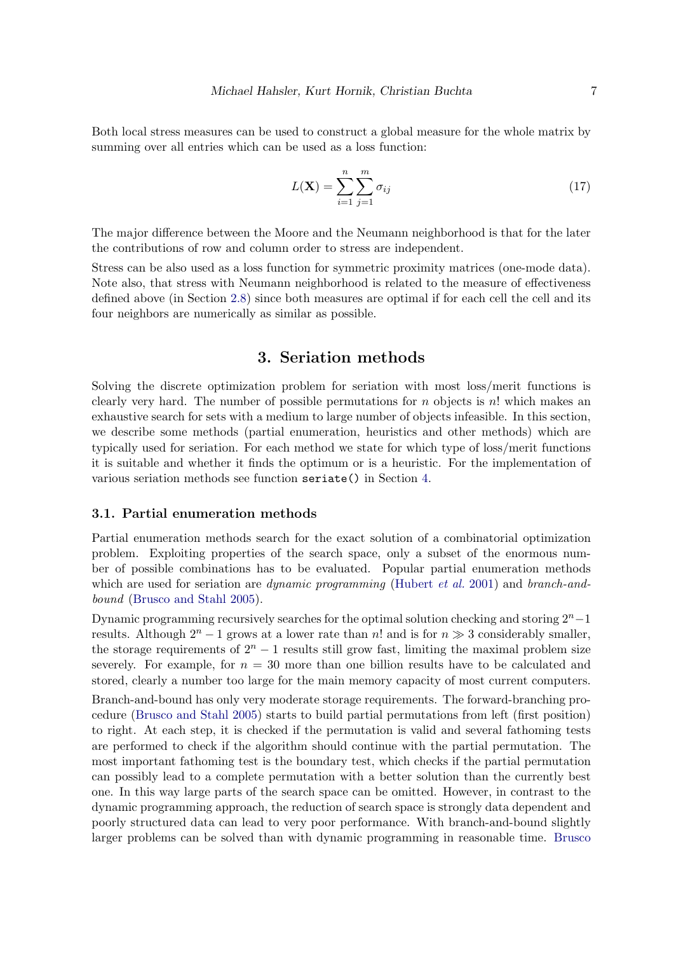Both local stress measures can be used to construct a global measure for the whole matrix by summing over all entries which can be used as a loss function:

$$
L(\mathbf{X}) = \sum_{i=1}^{n} \sum_{j=1}^{m} \sigma_{ij}
$$
 (17)

The major difference between the Moore and the Neumann neighborhood is that for the later the contributions of row and column order to stress are independent.

Stress can be also used as a loss function for symmetric proximity matrices (one-mode data). Note also, that stress with Neumann neighborhood is related to the measure of effectiveness defined above (in Section [2.8\)](#page-5-1) since both measures are optimal if for each cell the cell and its four neighbors are numerically as similar as possible.

# 3. Seriation methods

<span id="page-6-0"></span>Solving the discrete optimization problem for seriation with most loss/merit functions is clearly very hard. The number of possible permutations for  $n$  objects is  $n!$  which makes an exhaustive search for sets with a medium to large number of objects infeasible. In this section, we describe some methods (partial enumeration, heuristics and other methods) which are typically used for seriation. For each method we state for which type of loss/merit functions it is suitable and whether it finds the optimum or is a heuristic. For the implementation of various seriation methods see function seriate() in Section [4.](#page-9-0)

#### 3.1. Partial enumeration methods

Partial enumeration methods search for the exact solution of a combinatorial optimization problem. Exploiting properties of the search space, only a subset of the enormous number of possible combinations has to be evaluated. Popular partial enumeration methods which are used for seriation are *dynamic programming* [\(Hubert](#page-35-0) *et al.* [2001\)](#page-35-0) and *branch-and*bound [\(Brusco and Stahl 2005\)](#page-33-1).

Dynamic programming recursively searches for the optimal solution checking and storing  $2<sup>n</sup>$  - 1 results. Although  $2^{n} - 1$  grows at a lower rate than n! and is for  $n \gg 3$  considerably smaller, the storage requirements of  $2<sup>n</sup> - 1$  results still grow fast, limiting the maximal problem size severely. For example, for  $n = 30$  more than one billion results have to be calculated and stored, clearly a number too large for the main memory capacity of most current computers.

Branch-and-bound has only very moderate storage requirements. The forward-branching procedure [\(Brusco and Stahl 2005\)](#page-33-1) starts to build partial permutations from left (first position) to right. At each step, it is checked if the permutation is valid and several fathoming tests are performed to check if the algorithm should continue with the partial permutation. The most important fathoming test is the boundary test, which checks if the partial permutation can possibly lead to a complete permutation with a better solution than the currently best one. In this way large parts of the search space can be omitted. However, in contrast to the dynamic programming approach, the reduction of search space is strongly data dependent and poorly structured data can lead to very poor performance. With branch-and-bound slightly larger problems can be solved than with dynamic programming in reasonable time. [Brusco](#page-33-1)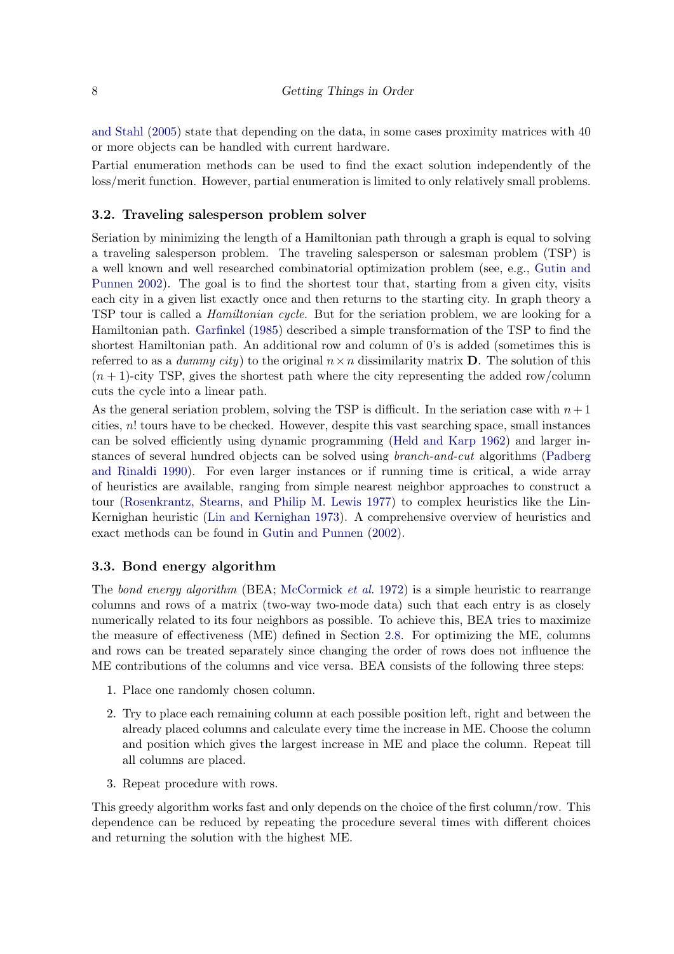[and Stahl](#page-33-1) [\(2005\)](#page-33-1) state that depending on the data, in some cases proximity matrices with 40 or more objects can be handled with current hardware.

Partial enumeration methods can be used to find the exact solution independently of the loss/merit function. However, partial enumeration is limited to only relatively small problems.

### 3.2. Traveling salesperson problem solver

Seriation by minimizing the length of a Hamiltonian path through a graph is equal to solving a traveling salesperson problem. The traveling salesperson or salesman problem (TSP) is a well known and well researched combinatorial optimization problem (see, e.g., [Gutin and](#page-34-4) [Punnen 2002\)](#page-34-4). The goal is to find the shortest tour that, starting from a given city, visits each city in a given list exactly once and then returns to the starting city. In graph theory a TSP tour is called a Hamiltonian cycle. But for the seriation problem, we are looking for a Hamiltonian path. [Garfinkel](#page-34-6) [\(1985\)](#page-34-6) described a simple transformation of the TSP to find the shortest Hamiltonian path. An additional row and column of 0's is added (sometimes this is referred to as a *dummy city*) to the original  $n \times n$  dissimilarity matrix **D**. The solution of this  $(n + 1)$ -city TSP, gives the shortest path where the city representing the added row/column cuts the cycle into a linear path.

As the general seriation problem, solving the TSP is difficult. In the seriation case with  $n+1$ cities,  $n!$  tours have to be checked. However, despite this vast searching space, small instances can be solved efficiently using dynamic programming [\(Held and Karp 1962\)](#page-35-7) and larger instances of several hundred objects can be solved using branch-and-cut algorithms [\(Padberg](#page-36-3) [and Rinaldi 1990\)](#page-36-3). For even larger instances or if running time is critical, a wide array of heuristics are available, ranging from simple nearest neighbor approaches to construct a tour [\(Rosenkrantz, Stearns, and Philip M. Lewis 1977\)](#page-36-4) to complex heuristics like the Lin-Kernighan heuristic [\(Lin and Kernighan 1973\)](#page-35-8). A comprehensive overview of heuristics and exact methods can be found in [Gutin and Punnen](#page-34-4) [\(2002\)](#page-34-4).

## 3.3. Bond energy algorithm

The bond energy algorithm (BEA; [McCormick](#page-35-5) et al. [1972\)](#page-35-5) is a simple heuristic to rearrange columns and rows of a matrix (two-way two-mode data) such that each entry is as closely numerically related to its four neighbors as possible. To achieve this, BEA tries to maximize the measure of effectiveness (ME) defined in Section [2.8.](#page-5-1) For optimizing the ME, columns and rows can be treated separately since changing the order of rows does not influence the ME contributions of the columns and vice versa. BEA consists of the following three steps:

- 1. Place one randomly chosen column.
- 2. Try to place each remaining column at each possible position left, right and between the already placed columns and calculate every time the increase in ME. Choose the column and position which gives the largest increase in ME and place the column. Repeat till all columns are placed.
- 3. Repeat procedure with rows.

This greedy algorithm works fast and only depends on the choice of the first column/row. This dependence can be reduced by repeating the procedure several times with different choices and returning the solution with the highest ME.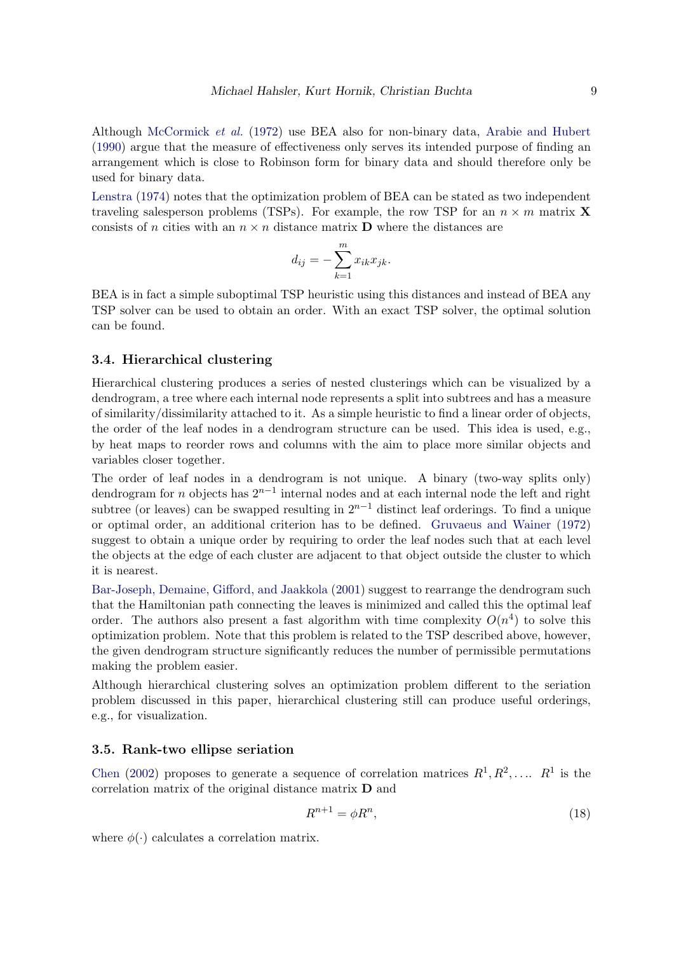Although [McCormick](#page-35-5) et al. [\(1972\)](#page-35-5) use BEA also for non-binary data, [Arabie and Hubert](#page-33-3) [\(1990\)](#page-33-3) argue that the measure of effectiveness only serves its intended purpose of finding an arrangement which is close to Robinson form for binary data and should therefore only be used for binary data.

[Lenstra](#page-35-9) [\(1974\)](#page-35-9) notes that the optimization problem of BEA can be stated as two independent traveling salesperson problems (TSPs). For example, the row TSP for an  $n \times m$  matrix **X** consists of n cities with an  $n \times n$  distance matrix **D** where the distances are

$$
d_{ij} = -\sum_{k=1}^{m} x_{ik} x_{jk}.
$$

BEA is in fact a simple suboptimal TSP heuristic using this distances and instead of BEA any TSP solver can be used to obtain an order. With an exact TSP solver, the optimal solution can be found.

#### <span id="page-8-0"></span>3.4. Hierarchical clustering

Hierarchical clustering produces a series of nested clusterings which can be visualized by a dendrogram, a tree where each internal node represents a split into subtrees and has a measure of similarity/dissimilarity attached to it. As a simple heuristic to find a linear order of objects, the order of the leaf nodes in a dendrogram structure can be used. This idea is used, e.g., by heat maps to reorder rows and columns with the aim to place more similar objects and variables closer together.

The order of leaf nodes in a dendrogram is not unique. A binary (two-way splits only) dendrogram for *n* objects has  $2^{n-1}$  internal nodes and at each internal node the left and right subtree (or leaves) can be swapped resulting in  $2^{n-1}$  distinct leaf orderings. To find a unique or optimal order, an additional criterion has to be defined. [Gruvaeus and Wainer](#page-34-7) [\(1972\)](#page-34-7) suggest to obtain a unique order by requiring to order the leaf nodes such that at each level the objects at the edge of each cluster are adjacent to that object outside the cluster to which it is nearest.

[Bar-Joseph, Demaine, Gifford, and Jaakkola](#page-33-4) [\(2001\)](#page-33-4) suggest to rearrange the dendrogram such that the Hamiltonian path connecting the leaves is minimized and called this the optimal leaf order. The authors also present a fast algorithm with time complexity  $O(n^4)$  to solve this optimization problem. Note that this problem is related to the TSP described above, however, the given dendrogram structure significantly reduces the number of permissible permutations making the problem easier.

Although hierarchical clustering solves an optimization problem different to the seriation problem discussed in this paper, hierarchical clustering still can produce useful orderings, e.g., for visualization.

### 3.5. Rank-two ellipse seriation

[Chen](#page-34-2) [\(2002\)](#page-34-2) proposes to generate a sequence of correlation matrices  $R^1, R^2, \ldots, R^1$  is the correlation matrix of the original distance matrix D and

$$
R^{n+1} = \phi R^n,\tag{18}
$$

where  $\phi(\cdot)$  calculates a correlation matrix.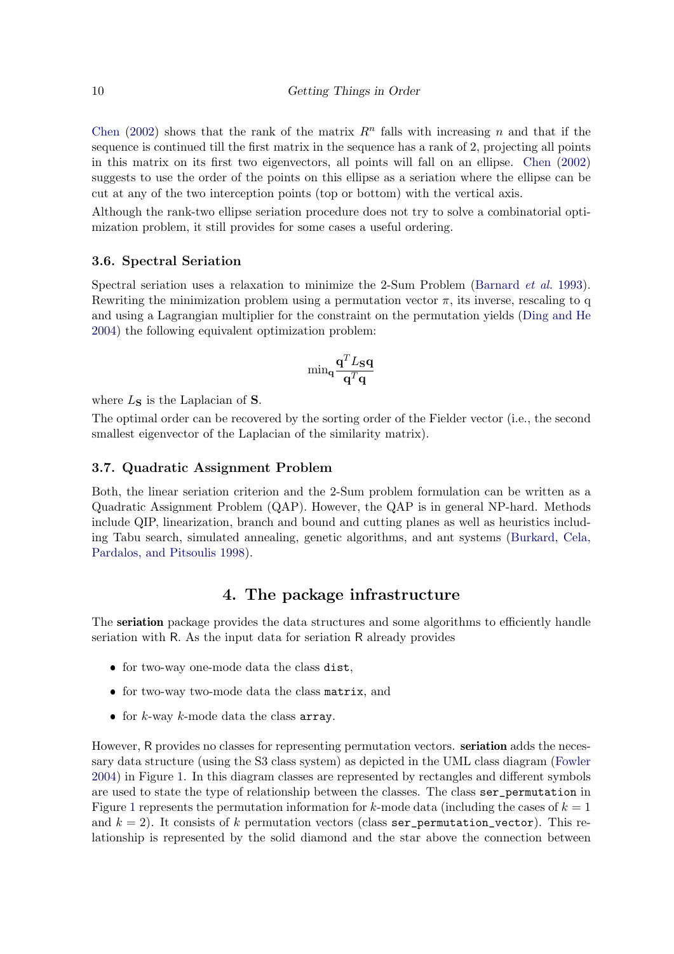[Chen](#page-34-2) [\(2002\)](#page-34-2) shows that the rank of the matrix  $R<sup>n</sup>$  falls with increasing n and that if the sequence is continued till the first matrix in the sequence has a rank of 2, projecting all points in this matrix on its first two eigenvectors, all points will fall on an ellipse. [Chen](#page-34-2) [\(2002\)](#page-34-2) suggests to use the order of the points on this ellipse as a seriation where the ellipse can be cut at any of the two interception points (top or bottom) with the vertical axis.

Although the rank-two ellipse seriation procedure does not try to solve a combinatorial optimization problem, it still provides for some cases a useful ordering.

## 3.6. Spectral Seriation

Spectral seriation uses a relaxation to minimize the 2-Sum Problem [\(Barnard](#page-33-2) *et al.* [1993\)](#page-33-2). Rewriting the minimization problem using a permutation vector  $\pi$ , its inverse, rescaling to q and using a Lagrangian multiplier for the constraint on the permutation yields [\(Ding and He](#page-34-8) [2004\)](#page-34-8) the following equivalent optimization problem:

$$
\text{min}_\mathbf{q}\frac{\mathbf{q}^TL_\mathbf{S}\mathbf{q}}{\mathbf{q}^T\mathbf{q}}
$$

where  $L<sub>S</sub>$  is the Laplacian of S.

The optimal order can be recovered by the sorting order of the Fielder vector (i.e., the second smallest eigenvector of the Laplacian of the similarity matrix).

## 3.7. Quadratic Assignment Problem

Both, the linear seriation criterion and the 2-Sum problem formulation can be written as a Quadratic Assignment Problem (QAP). However, the QAP is in general NP-hard. Methods include QIP, linearization, branch and bound and cutting planes as well as heuristics including Tabu search, simulated annealing, genetic algorithms, and ant systems [\(Burkard, Cela,](#page-34-9) [Pardalos, and Pitsoulis 1998\)](#page-34-9).

# 4. The package infrastructure

<span id="page-9-0"></span>The seriation package provides the data structures and some algorithms to efficiently handle seriation with R. As the input data for seriation R already provides

- ❼ for two-way one-mode data the class dist,
- ❼ for two-way two-mode data the class matrix, and
- for  $k$ -way  $k$ -mode data the class array.

However, R provides no classes for representing permutation vectors. **seriation** adds the necessary data structure (using the S3 class system) as depicted in the UML class diagram [\(Fowler](#page-34-10) [2004\)](#page-34-10) in Figure [1.](#page-10-0) In this diagram classes are represented by rectangles and different symbols are used to state the type of relationship between the classes. The class ser\_permutation in Figure [1](#page-10-0) represents the permutation information for k-mode data (including the cases of  $k = 1$ ) and  $k = 2$ ). It consists of k permutation vectors (class ser permutation vector). This relationship is represented by the solid diamond and the star above the connection between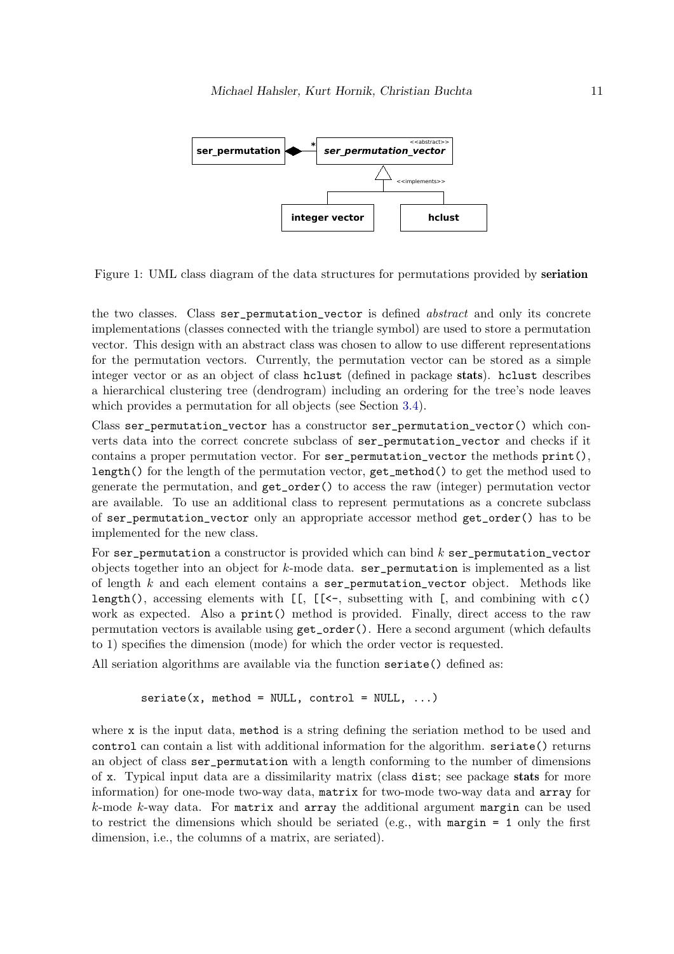

<span id="page-10-0"></span>Figure 1: UML class diagram of the data structures for permutations provided by seriation

the two classes. Class ser permutation vector is defined *abstract* and only its concrete implementations (classes connected with the triangle symbol) are used to store a permutation vector. This design with an abstract class was chosen to allow to use different representations for the permutation vectors. Currently, the permutation vector can be stored as a simple integer vector or as an object of class hclust (defined in package stats). hclust describes a hierarchical clustering tree (dendrogram) including an ordering for the tree's node leaves which provides a permutation for all objects (see Section [3.4\)](#page-8-0).

Class ser\_permutation\_vector has a constructor ser\_permutation\_vector() which converts data into the correct concrete subclass of ser\_permutation\_vector and checks if it contains a proper permutation vector. For ser\_permutation\_vector the methods print(), length() for the length of the permutation vector, get\_method() to get the method used to generate the permutation, and get\_order() to access the raw (integer) permutation vector are available. To use an additional class to represent permutations as a concrete subclass of ser\_permutation\_vector only an appropriate accessor method get\_order() has to be implemented for the new class.

For ser\_permutation a constructor is provided which can bind  $k$  ser\_permutation\_vector objects together into an object for  $k$ -mode data. ser\_permutation is implemented as a list of length  $k$  and each element contains a ser permutation vector object. Methods like length(), accessing elements with  $[I, [[-(-\epsilon, \epsilon])]$  subsetting with  $[\epsilon, \epsilon]$ , and combining with  $\epsilon$ () work as expected. Also a print() method is provided. Finally, direct access to the raw permutation vectors is available using get\_order(). Here a second argument (which defaults to 1) specifies the dimension (mode) for which the order vector is requested.

All seriation algorithms are available via the function seriate() defined as:

 $s$ eriate(x, method = NULL, control = NULL, ...)

where x is the input data, method is a string defining the seriation method to be used and control can contain a list with additional information for the algorithm. seriate() returns an object of class ser\_permutation with a length conforming to the number of dimensions of x. Typical input data are a dissimilarity matrix (class dist; see package stats for more information) for one-mode two-way data, matrix for two-mode two-way data and array for  $k$ -mode  $k$ -way data. For matrix and array the additional argument margin can be used to restrict the dimensions which should be seriated (e.g., with margin  $= 1$  only the first dimension, i.e., the columns of a matrix, are seriated).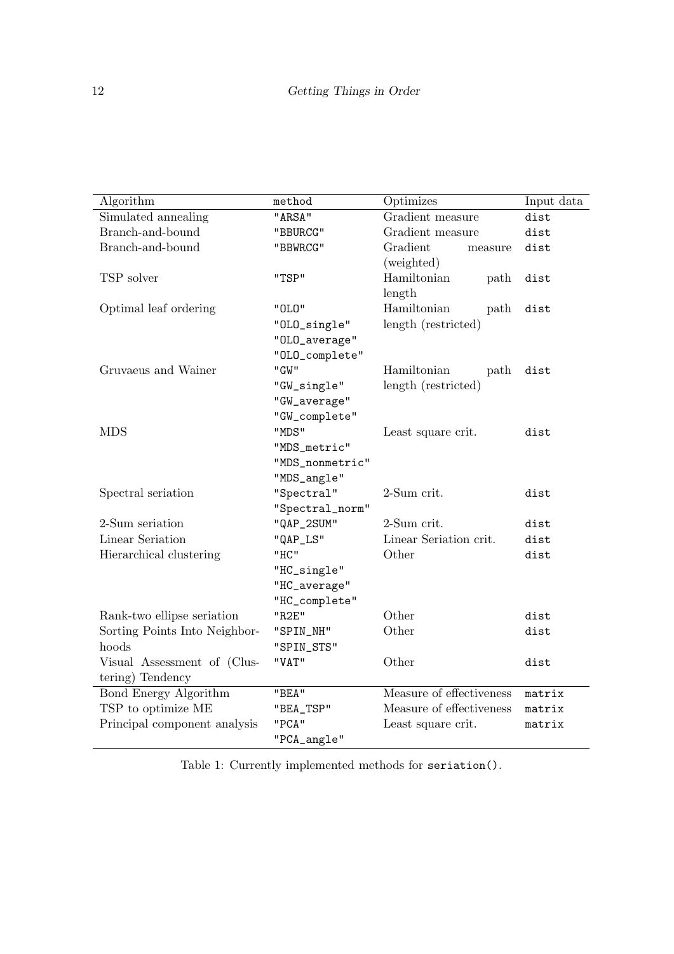| Algorithm                     | method          | Optimizes                | Input data |
|-------------------------------|-----------------|--------------------------|------------|
| Simulated annealing           | "ARSA"          | Gradient measure         | dist       |
| Branch-and-bound              | "BBURCG"        | Gradient measure         | dist       |
| Branch-and-bound              | "BBWRCG"        | Gradient<br>measure      | dist       |
|                               |                 | (weighted)               |            |
| TSP solver                    | "TSP"           | Hamiltonian<br>path      | dist       |
|                               |                 | length                   |            |
| Optimal leaf ordering         | "0L0"           | Hamiltonian<br>path      | dist       |
|                               | "OLO_single"    | length (restricted)      |            |
|                               | "OLO_average"   |                          |            |
|                               | "OLO_complete"  |                          |            |
| Gruvaeus and Wainer           | "GW"            | Hamiltonian<br>path      | dist       |
|                               | "GW_single"     | length (restricted)      |            |
|                               | "GW_average"    |                          |            |
|                               | "GW_complete"   |                          |            |
| <b>MDS</b>                    | "MDS"           | Least square crit.       | dist       |
|                               | "MDS_metric"    |                          |            |
|                               | "MDS_nonmetric" |                          |            |
|                               | "MDS_angle"     |                          |            |
| Spectral seriation            | "Spectral"      | 2-Sum crit.              | dist       |
|                               | "Spectral_norm" |                          |            |
| 2-Sum seriation               | "QAP_2SUM"      | 2-Sum crit.              | dist       |
| Linear Seriation              | "QAP_LS"        | Linear Seriation crit.   | dist       |
| Hierarchical clustering       | "HC"            | Other                    | dist       |
|                               | "HC_single"     |                          |            |
|                               | "HC_average"    |                          |            |
|                               | "HC_complete"   |                          |            |
| Rank-two ellipse seriation    | "R2E"           | Other                    | dist       |
| Sorting Points Into Neighbor- | "SPIN_NH"       | Other                    | dist       |
| hoods                         | "SPIN_STS"      |                          |            |
| Visual Assessment of (Clus-   | "VAT"           | Other                    | dist       |
| tering) Tendency              |                 |                          |            |
| <b>Bond Energy Algorithm</b>  | "BEA"           | Measure of effectiveness | matrix     |
| TSP to optimize ME            | "BEA_TSP"       | Measure of effectiveness | matrix     |
| Principal component analysis  | "PCA"           | Least square crit.       | matrix     |
|                               | "PCA_angle"     |                          |            |

<span id="page-11-0"></span>Table 1: Currently implemented methods for seriation().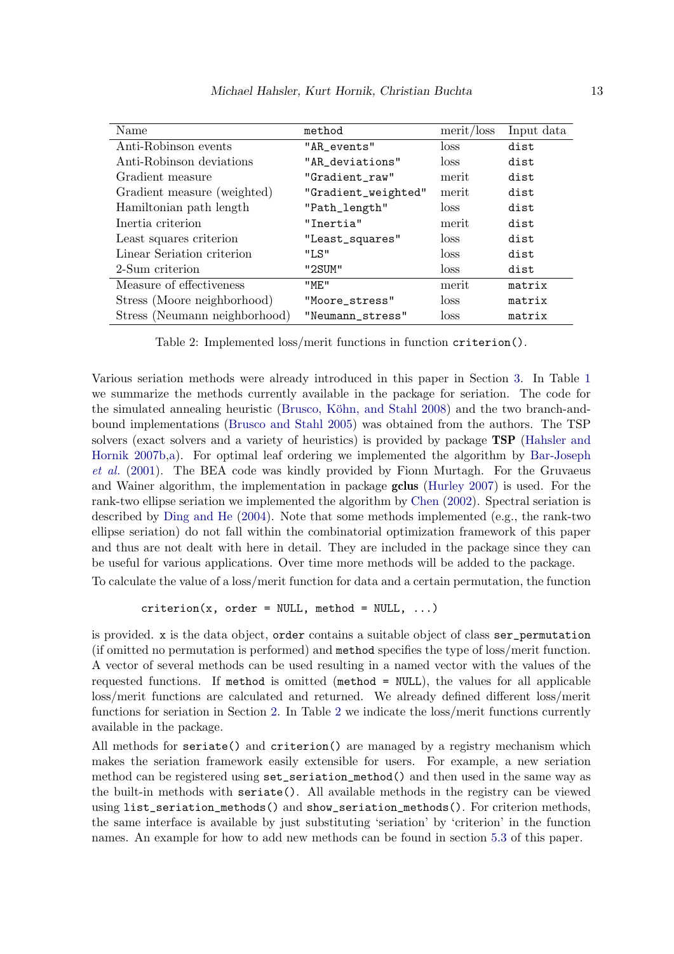| Name                          | method              | merit / loss | Input data |
|-------------------------------|---------------------|--------------|------------|
| Anti-Robinson events          | "AR_events"         | loss         | dist       |
| Anti-Robinson deviations      | "AR_deviations"     | loss         | dist       |
| Gradient measure              | "Gradient_raw"      | merit        | dist       |
| Gradient measure (weighted)   | "Gradient_weighted" | merit        | dist       |
| Hamiltonian path length       | "Path_length"       | loss         | dist       |
| Inertia criterion             | "Inertia"           | merit        | dist       |
| Least squares criterion       | "Least_squares"     | loss         | dist       |
| Linear Seriation criterion    | "LS"                | loss         | dist       |
| 2-Sum criterion               | "2SUM"              | loss         | dist       |
| Measure of effectiveness      | "ME"                | merit        | matrix     |
| Stress (Moore neighborhood)   | "Moore_stress"      | loss         | matrix     |
| Stress (Neumann neighborhood) | "Neumann_stress"    | <b>loss</b>  | matrix     |

<span id="page-12-0"></span>Table 2: Implemented loss/merit functions in function criterion().

Various seriation methods were already introduced in this paper in Section [3.](#page-6-0) In Table [1](#page-11-0) we summarize the methods currently available in the package for seriation. The code for the simulated annealing heuristic (Brusco, Köhn, and Stahl 2008) and the two branch-andbound implementations [\(Brusco and Stahl 2005\)](#page-33-1) was obtained from the authors. The TSP solvers (exact solvers and a variety of heuristics) is provided by package TSP [\(Hahsler and](#page-34-11) [Hornik 2007b](#page-34-11)[,a\)](#page-34-12). For optimal leaf ordering we implemented the algorithm by [Bar-Joseph](#page-33-4) [et al.](#page-33-4) [\(2001\)](#page-33-4). The BEA code was kindly provided by Fionn Murtagh. For the Gruvaeus and Wainer algorithm, the implementation in package gclus [\(Hurley 2007\)](#page-35-10) is used. For the rank-two ellipse seriation we implemented the algorithm by [Chen](#page-34-2) [\(2002\)](#page-34-2). Spectral seriation is described by [Ding and He](#page-34-8) [\(2004\)](#page-34-8). Note that some methods implemented (e.g., the rank-two ellipse seriation) do not fall within the combinatorial optimization framework of this paper and thus are not dealt with here in detail. They are included in the package since they can be useful for various applications. Over time more methods will be added to the package.

To calculate the value of a loss/merit function for data and a certain permutation, the function

```
criterion(x, order = NULL, method = NULL, ...)
```
is provided. x is the data object, order contains a suitable object of class ser\_permutation (if omitted no permutation is performed) and method specifies the type of loss/merit function. A vector of several methods can be used resulting in a named vector with the values of the requested functions. If method is omitted (method = NULL), the values for all applicable loss/merit functions are calculated and returned. We already defined different loss/merit functions for seriation in Section [2.](#page-1-0) In Table [2](#page-12-0) we indicate the loss/merit functions currently available in the package.

All methods for seriate() and criterion() are managed by a registry mechanism which makes the seriation framework easily extensible for users. For example, a new seriation method can be registered using set\_seriation\_method() and then used in the same way as the built-in methods with seriate(). All available methods in the registry can be viewed using list\_seriation\_methods() and show\_seriation\_methods(). For criterion methods, the same interface is available by just substituting 'seriation' by 'criterion' in the function names. An example for how to add new methods can be found in section [5.3](#page-19-0) of this paper.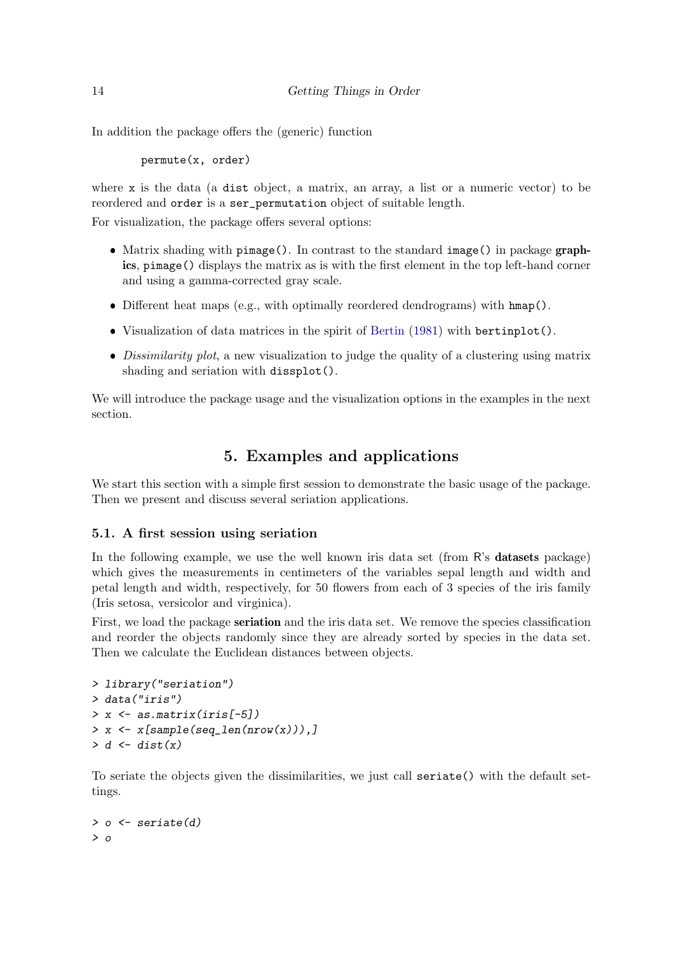In addition the package offers the (generic) function

permute(x, order)

where x is the data (a dist object, a matrix, an array, a list or a numeric vector) to be reordered and order is a ser\_permutation object of suitable length.

For visualization, the package offers several options:

- ❼ Matrix shading with pimage(). In contrast to the standard image() in package graphics, pimage() displays the matrix as is with the first element in the top left-hand corner and using a gamma-corrected gray scale.
- Different heat maps (e.g., with optimally reordered dendrograms) with hmap().
- ❼ Visualization of data matrices in the spirit of [Bertin](#page-33-6) [\(1981\)](#page-33-6) with bertinplot().
- Dissimilarity plot, a new visualization to judge the quality of a clustering using matrix shading and seriation with dissplot().

We will introduce the package usage and the visualization options in the examples in the next section.

# 5. Examples and applications

<span id="page-13-0"></span>We start this section with a simple first session to demonstrate the basic usage of the package. Then we present and discuss several seriation applications.

# 5.1. A first session using seriation

In the following example, we use the well known iris data set (from R's **datasets** package) which gives the measurements in centimeters of the variables sepal length and width and petal length and width, respectively, for 50 flowers from each of 3 species of the iris family (Iris setosa, versicolor and virginica).

First, we load the package seriation and the iris data set. We remove the species classification and reorder the objects randomly since they are already sorted by species in the data set. Then we calculate the Euclidean distances between objects.

```
> library("seriation")
> data("iris")
> x <- as.matrix(iris[-5])
> x <- x[sample(seq_len(nrow(x))),]
> d <- dist(x)
```
To seriate the objects given the dissimilarities, we just call seriate() with the default settings.

```
> o <- seriate(d)
> o
```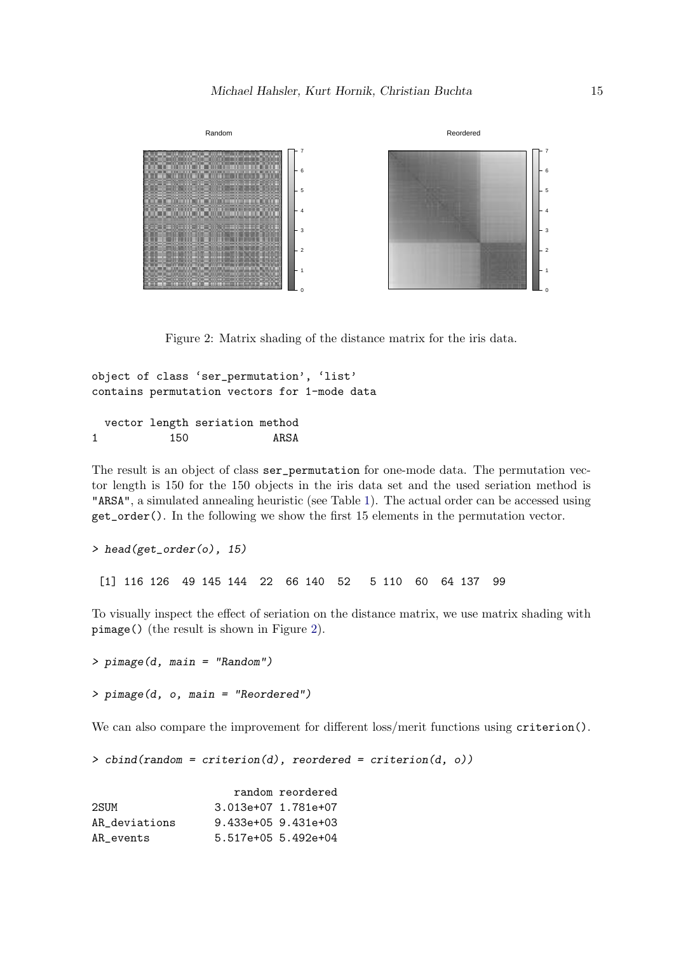

<span id="page-14-0"></span>Figure 2: Matrix shading of the distance matrix for the iris data.

object of class 'ser\_permutation', 'list' contains permutation vectors for 1-mode data

vector length seriation method 1 150 ARSA

The result is an object of class ser permutation for one-mode data. The permutation vector length is 150 for the 150 objects in the iris data set and the used seriation method is "ARSA", a simulated annealing heuristic (see Table [1\)](#page-11-0). The actual order can be accessed using get\_order(). In the following we show the first 15 elements in the permutation vector.

```
> head(get_order(o), 15)
```
[1] 116 126 49 145 144 22 66 140 52 5 110 60 64 137 99

To visually inspect the effect of seriation on the distance matrix, we use matrix shading with pimage() (the result is shown in Figure [2\)](#page-14-0).

*> pimage(d, main = "Random") > pimage(d, o, main = "Reordered")*

We can also compare the improvement for different loss/merit functions using criterion().

*> cbind(random = criterion(d), reordered = criterion(d, o))*

|               |                         | random reordered |
|---------------|-------------------------|------------------|
| 2SUM          | 3.013e+07 1.781e+07     |                  |
| AR deviations | $9.433e+05$ $9.431e+03$ |                  |
| AR events     | 5.517e+05 5.492e+04     |                  |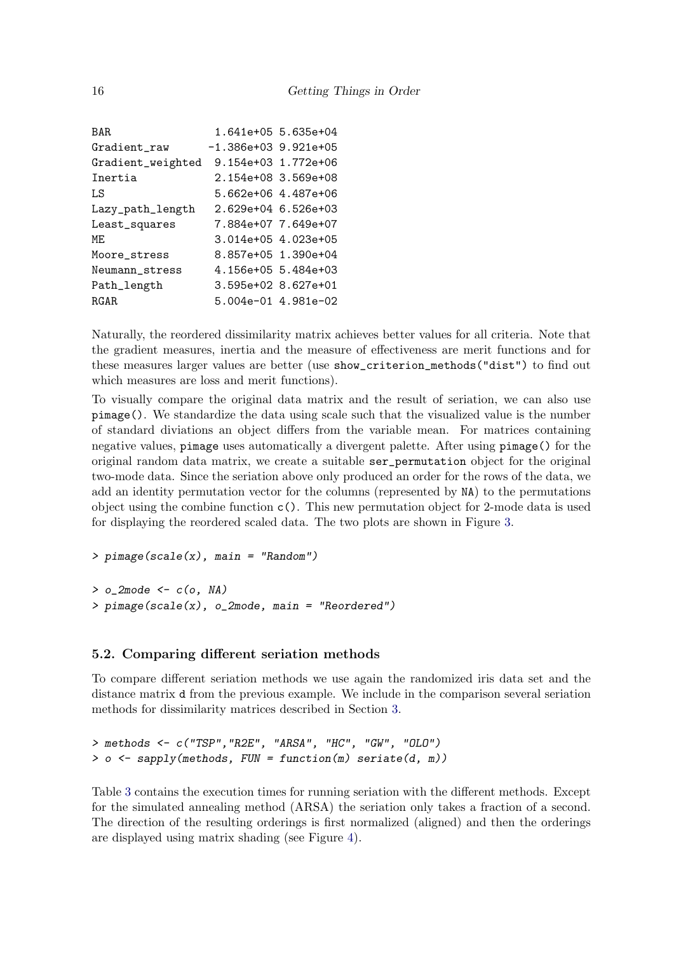```
BAR 1.641e+05 5.635e+04
Gradient_raw -1.386e+03 9.921e+05
Gradient_weighted 9.154e+03 1.772e+06
Inertia 2.154e+08 3.569e+08
LS 5.662e+06 4.487e+06
Lazy_path_length 2.629e+04 6.526e+03
Least_squares 7.884e+07 7.649e+07
ME 3.014e+05 4.023e+05
Moore stress 8.857e+05 1.390e+04
Neumann stress 4.156e+05 5.484e+03
Path_length 3.595e+02 8.627e+01
RGAR 5.004e-01 4.981e-02
```
Naturally, the reordered dissimilarity matrix achieves better values for all criteria. Note that the gradient measures, inertia and the measure of effectiveness are merit functions and for these measures larger values are better (use show\_criterion\_methods("dist") to find out which measures are loss and merit functions).

To visually compare the original data matrix and the result of seriation, we can also use pimage(). We standardize the data using scale such that the visualized value is the number of standard diviations an object differs from the variable mean. For matrices containing negative values, pimage uses automatically a divergent palette. After using pimage() for the original random data matrix, we create a suitable ser\_permutation object for the original two-mode data. Since the seriation above only produced an order for the rows of the data, we add an identity permutation vector for the columns (represented by NA) to the permutations object using the combine function  $c()$ . This new permutation object for 2-mode data is used for displaying the reordered scaled data. The two plots are shown in Figure [3.](#page-16-0)

```
> pimage(scale(x), main = "Random")
```

```
> o_2mode <- c(o, NA)
> pimage(scale(x), o_2mode, main = "Reordered")
```
# 5.2. Comparing different seriation methods

To compare different seriation methods we use again the randomized iris data set and the distance matrix d from the previous example. We include in the comparison several seriation methods for dissimilarity matrices described in Section [3.](#page-6-0)

```
> methods <- c("TSP","R2E", "ARSA", "HC", "GW", "OLO")
> o <- sapply(methods, FUN = function(m) seriate(d, m))
```
Table [3](#page-16-1) contains the execution times for running seriation with the different methods. Except for the simulated annealing method (ARSA) the seriation only takes a fraction of a second. The direction of the resulting orderings is first normalized (aligned) and then the orderings are displayed using matrix shading (see Figure [4\)](#page-16-2).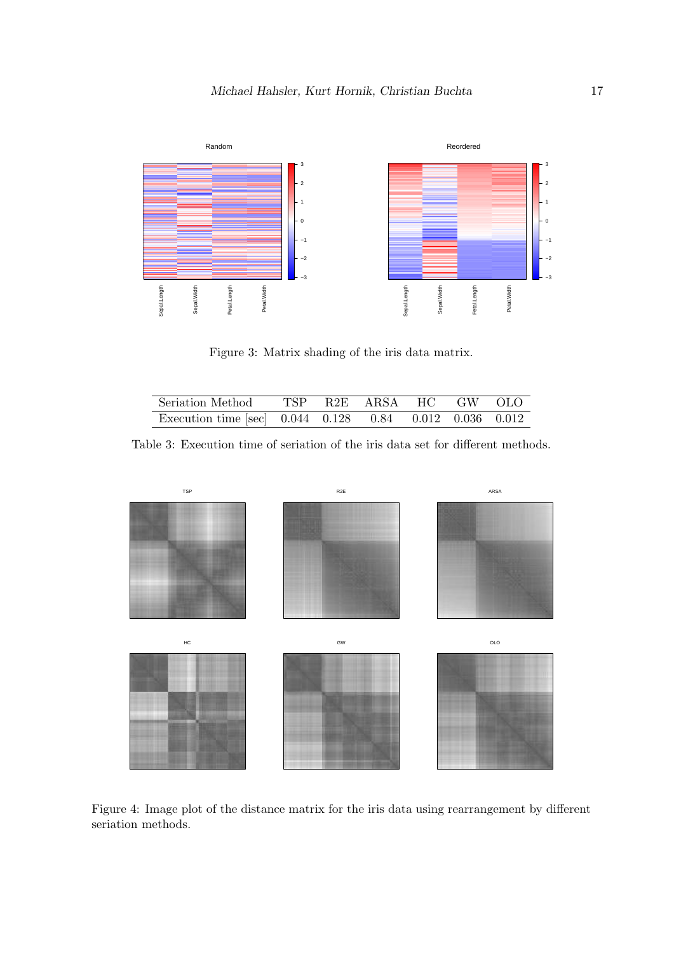

<span id="page-16-0"></span>Figure 3: Matrix shading of the iris data matrix.

<span id="page-16-1"></span>

| Seriation Method                                                               |  | TSP R2E ARSA HC GW OLO |  |  |
|--------------------------------------------------------------------------------|--|------------------------|--|--|
| Execution time [sec] $0.044$ $0.128$ $\overline{0.84}$ $0.012$ $0.036$ $0.012$ |  |                        |  |  |

Table 3: Execution time of seriation of the iris data set for different methods.



<span id="page-16-2"></span>Figure 4: Image plot of the distance matrix for the iris data using rearrangement by different seriation methods.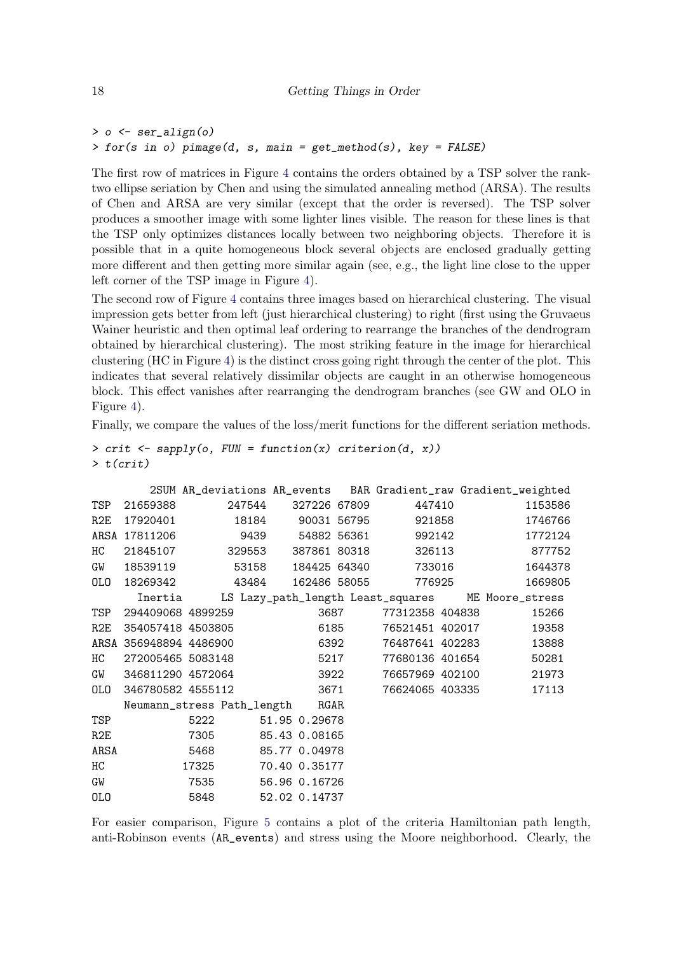```
> o <- ser_align(o)
> for(s in o) pimage(d, s, main = get_method(s), key = FALSE)
```
The first row of matrices in Figure [4](#page-16-2) contains the orders obtained by a TSP solver the ranktwo ellipse seriation by Chen and using the simulated annealing method (ARSA). The results of Chen and ARSA are very similar (except that the order is reversed). The TSP solver produces a smoother image with some lighter lines visible. The reason for these lines is that the TSP only optimizes distances locally between two neighboring objects. Therefore it is possible that in a quite homogeneous block several objects are enclosed gradually getting more different and then getting more similar again (see, e.g., the light line close to the upper left corner of the TSP image in Figure [4\)](#page-16-2).

The second row of Figure [4](#page-16-2) contains three images based on hierarchical clustering. The visual impression gets better from left (just hierarchical clustering) to right (first using the Gruvaeus Wainer heuristic and then optimal leaf ordering to rearrange the branches of the dendrogram obtained by hierarchical clustering). The most striking feature in the image for hierarchical clustering (HC in Figure [4\)](#page-16-2) is the distinct cross going right through the center of the plot. This indicates that several relatively dissimilar objects are caught in an otherwise homogeneous block. This effect vanishes after rearranging the dendrogram branches (see GW and OLO in Figure [4\)](#page-16-2).

Finally, we compare the values of the loss/merit functions for the different seriation methods.

```
> crit <- sapply(o, FUN = function(x) criterion(d, x))
> t(crit)
```

|      |                                         |                     |  |  |                      |  | 2SUM AR_deviations AR_events BAR Gradient_raw Gradient_weighted |
|------|-----------------------------------------|---------------------|--|--|----------------------|--|-----------------------------------------------------------------|
|      | TSP 21659388 247544 327226 67809 447410 |                     |  |  |                      |  | 1153586                                                         |
|      | R2E 17920401 18184 90031 56795 921858   |                     |  |  |                      |  | 1746766                                                         |
|      | ARSA 17811206 9439 54882 56361 992142   |                     |  |  |                      |  | 1772124                                                         |
|      | HC 21845107 329553 387861 80318 326113  |                     |  |  |                      |  | 877752                                                          |
|      | GW 18539119 53158 184425 64340 733016   |                     |  |  |                      |  | 1644378                                                         |
|      | 0L0 18269342 43484 162486 58055 776925  |                     |  |  |                      |  | 1669805                                                         |
|      |                                         |                     |  |  |                      |  | Inertia LS Lazy_path_length Least_squares ME Moore_stress       |
|      | TSP 294409068 4899259                   |                     |  |  | 3687 77312358 404838 |  | 15266                                                           |
|      |                                         |                     |  |  |                      |  | R2E 354057418 4503805 6185 76521451 402017 19358                |
|      |                                         |                     |  |  |                      |  | ARSA 356948894 4486900 6392 76487641 402283 13888               |
|      |                                         |                     |  |  |                      |  | HC 272005465 5083148 5217 77680136 401654 50281                 |
|      |                                         |                     |  |  |                      |  | GW 346811290 4572064 3922 76657969 402100 21973                 |
|      |                                         |                     |  |  |                      |  | 0L0 346780582 4555112 3671 76624065 403335 17113                |
|      | Neumann_stress Path_length RGAR         |                     |  |  |                      |  |                                                                 |
| TSP  |                                         | 5222 51.95 0.29678  |  |  |                      |  |                                                                 |
| R2E  |                                         | 7305 85.43 0.08165  |  |  |                      |  |                                                                 |
| ARSA |                                         | 5468 85.77 0.04978  |  |  |                      |  |                                                                 |
| HC   |                                         | 17325 70.40 0.35177 |  |  |                      |  |                                                                 |
| GW   |                                         | 7535 56.96 0.16726  |  |  |                      |  |                                                                 |
| OLO  |                                         | 5848 52.02 0.14737  |  |  |                      |  |                                                                 |

For easier comparison, Figure [5](#page-18-0) contains a plot of the criteria Hamiltonian path length, anti-Robinson events (AR\_events) and stress using the Moore neighborhood. Clearly, the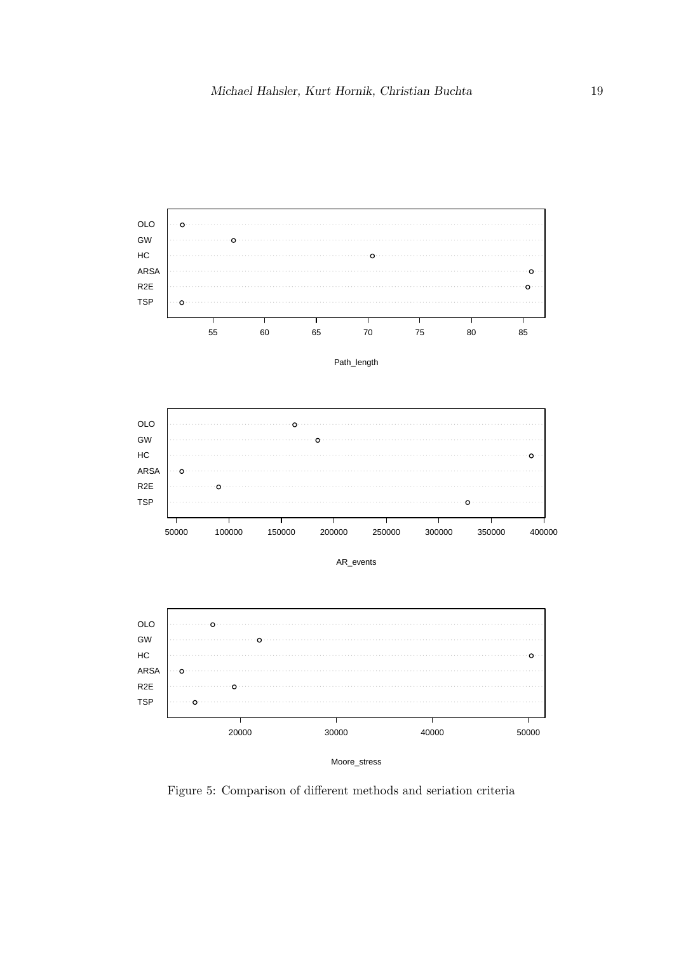

<span id="page-18-0"></span>Figure 5: Comparison of different methods and seriation criteria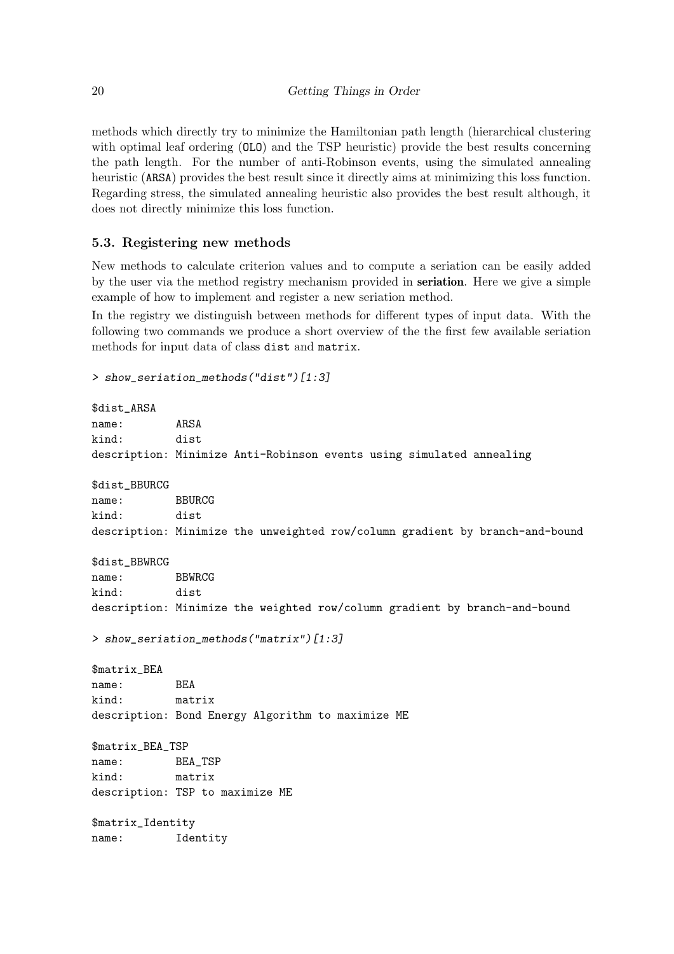methods which directly try to minimize the Hamiltonian path length (hierarchical clustering with optimal leaf ordering (OLO) and the TSP heuristic) provide the best results concerning the path length. For the number of anti-Robinson events, using the simulated annealing heuristic (ARSA) provides the best result since it directly aims at minimizing this loss function. Regarding stress, the simulated annealing heuristic also provides the best result although, it does not directly minimize this loss function.

# <span id="page-19-0"></span>5.3. Registering new methods

New methods to calculate criterion values and to compute a seriation can be easily added by the user via the method registry mechanism provided in seriation. Here we give a simple example of how to implement and register a new seriation method.

In the registry we distinguish between methods for different types of input data. With the following two commands we produce a short overview of the the first few available seriation methods for input data of class dist and matrix.

```
> show_seriation_methods("dist")[1:3]
```

```
$dist_ARSA
name: ARSA
kind: dist
description: Minimize Anti-Robinson events using simulated annealing
$dist_BBURCG
name: BBURCG
kind: dist
description: Minimize the unweighted row/column gradient by branch-and-bound
$dist_BBWRCG
name: BBWRCG
kind: dist
description: Minimize the weighted row/column gradient by branch-and-bound
> show_seriation_methods("matrix")[1:3]
$matrix_BEA
name: BEA
kind: matrix
description: Bond Energy Algorithm to maximize ME
$matrix_BEA_TSP
name: BEA_TSP
kind: matrix
description: TSP to maximize ME
$matrix_Identity
name: Identity
```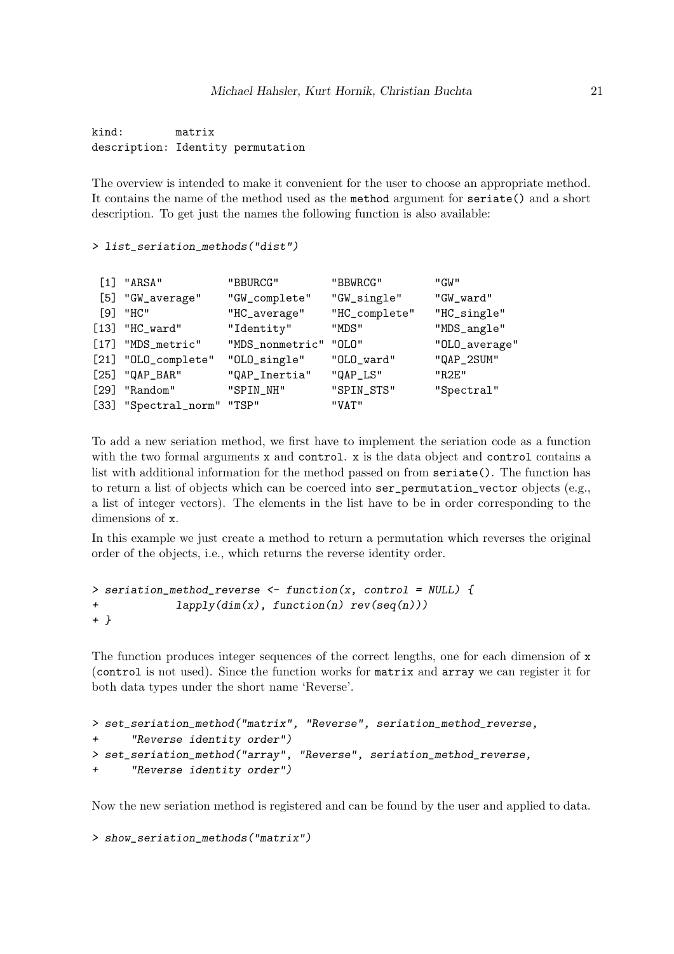kind: matrix description: Identity permutation

The overview is intended to make it convenient for the user to choose an appropriate method. It contains the name of the method used as the method argument for seriate() and a short description. To get just the names the following function is also available:

#### *> list\_seriation\_methods("dist")*

| $[1]$ "ARSA"               | "BBURCG"              | "BBWRCG"      | "GW"          |
|----------------------------|-----------------------|---------------|---------------|
| [5] "GW_average"           | "GW_complete"         | "GW_single"   | "GW_ward"     |
| $[9]$ "HC"                 | "HC_average"          | "HC_complete" | "HC_single"   |
| $[13]$ "HC_ward"           | "Identity"            | "MDS"         | "MDS_angle"   |
| [17] "MDS_metric"          | "MDS_nonmetric" "OLO" |               | "OLO_average" |
| [21] "OLO_complete"        | "OLO_single"          | "OLO_ward"    | "QAP_2SUM"    |
| $[25]$ "QAP_BAR"           | "QAP_Inertia"         | "QAP_LS"      | "R2F."        |
| $[29]$ "Random"            | "SPIN_NH"             | "SPIN_STS"    | "Spectral"    |
| [33] "Spectral_norm" "TSP" |                       | "VAT"         |               |

To add a new seriation method, we first have to implement the seriation code as a function with the two formal arguments x and control. x is the data object and control contains a list with additional information for the method passed on from seriate(). The function has to return a list of objects which can be coerced into ser\_permutation\_vector objects (e.g., a list of integer vectors). The elements in the list have to be in order corresponding to the dimensions of x.

In this example we just create a method to return a permutation which reverses the original order of the objects, i.e., which returns the reverse identity order.

```
> seriation_method_reverse <- function(x, control = NULL) {
+ lapply(dim(x), function(n) rev(seq(n)))
+ }
```
The function produces integer sequences of the correct lengths, one for each dimension of x (control is not used). Since the function works for matrix and array we can register it for both data types under the short name 'Reverse'.

```
> set_seriation_method("matrix", "Reverse", seriation_method_reverse,
+ "Reverse identity order")
> set_seriation_method("array", "Reverse", seriation_method_reverse,
+ "Reverse identity order")
```
Now the new seriation method is registered and can be found by the user and applied to data.

```
> show_seriation_methods("matrix")
```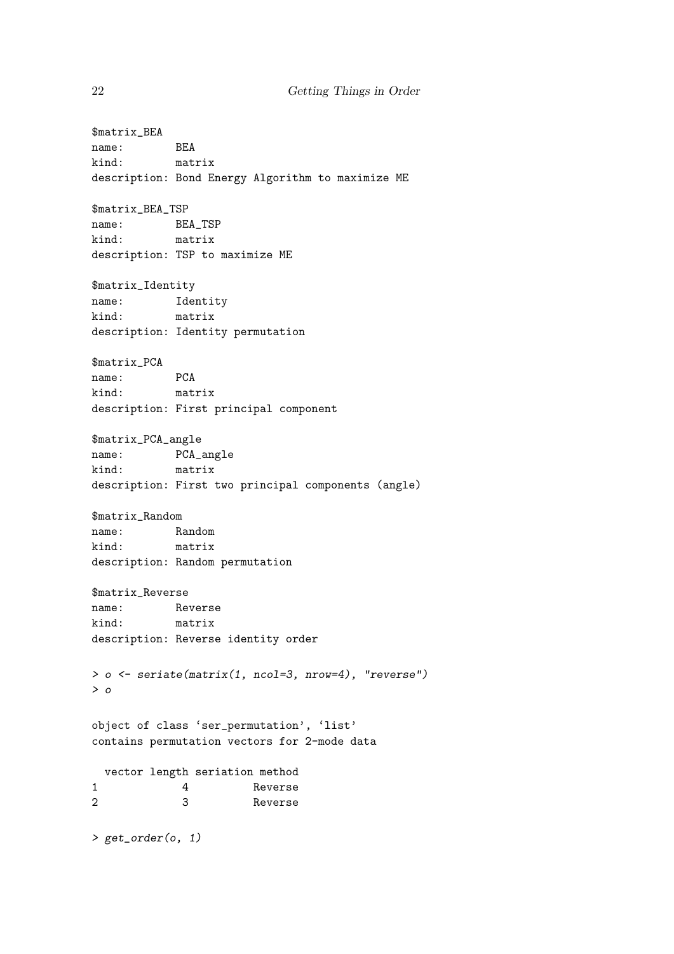\$matrix\_BEA name: BEA kind: matrix description: Bond Energy Algorithm to maximize ME \$matrix\_BEA\_TSP name: BEA\_TSP kind: matrix description: TSP to maximize ME \$matrix\_Identity name: Identity kind: matrix description: Identity permutation \$matrix\_PCA name: PCA kind: matrix description: First principal component \$matrix\_PCA\_angle name: PCA\_angle<br>kind: matrix matrix description: First two principal components (angle) \$matrix\_Random name: Random kind: matrix description: Random permutation \$matrix\_Reverse name: Reverse kind: matrix description: Reverse identity order *> o <- seriate(matrix(1, ncol=3, nrow=4), "reverse") > o* object of class 'ser\_permutation', 'list' contains permutation vectors for 2-mode data vector length seriation method 1 4 Reverse 2 3 Reverse *> get\_order(o, 1)*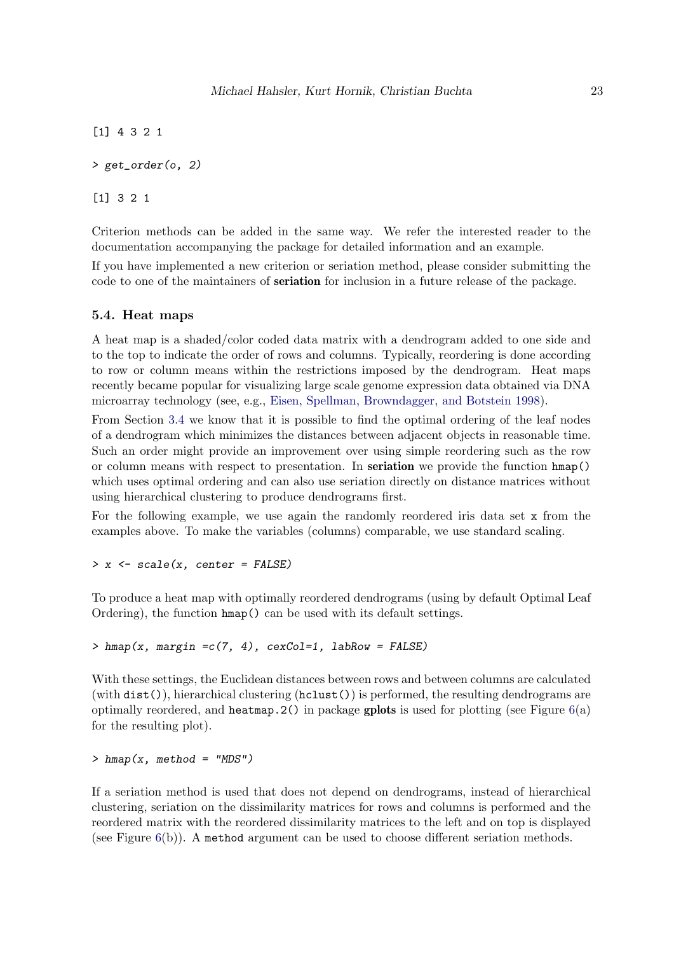[1] 4 3 2 1

*> get\_order(o, 2)*

[1] 3 2 1

Criterion methods can be added in the same way. We refer the interested reader to the documentation accompanying the package for detailed information and an example.

If you have implemented a new criterion or seriation method, please consider submitting the code to one of the maintainers of seriation for inclusion in a future release of the package.

## 5.4. Heat maps

A heat map is a shaded/color coded data matrix with a dendrogram added to one side and to the top to indicate the order of rows and columns. Typically, reordering is done according to row or column means within the restrictions imposed by the dendrogram. Heat maps recently became popular for visualizing large scale genome expression data obtained via DNA microarray technology (see, e.g., [Eisen, Spellman, Browndagger, and Botstein 1998\)](#page-34-13).

From Section [3.4](#page-8-0) we know that it is possible to find the optimal ordering of the leaf nodes of a dendrogram which minimizes the distances between adjacent objects in reasonable time. Such an order might provide an improvement over using simple reordering such as the row or column means with respect to presentation. In seriation we provide the function hmap() which uses optimal ordering and can also use seriation directly on distance matrices without using hierarchical clustering to produce dendrograms first.

For the following example, we use again the randomly reordered iris data set x from the examples above. To make the variables (columns) comparable, we use standard scaling.

*> x <- scale(x, center = FALSE)*

To produce a heat map with optimally reordered dendrograms (using by default Optimal Leaf Ordering), the function hmap() can be used with its default settings.

## *> hmap(x, margin =c(7, 4), cexCol=1, labRow = FALSE)*

With these settings, the Euclidean distances between rows and between columns are calculated (with  $dist()$ ), hierarchical clustering  $(hclust())$  is performed, the resulting dendrograms are optimally reordered, and heatmap.  $2()$  in package gplots is used for plotting (see Figure [6\(](#page-23-0)a) for the resulting plot).

*> hmap(x, method = "MDS")*

If a seriation method is used that does not depend on dendrograms, instead of hierarchical clustering, seriation on the dissimilarity matrices for rows and columns is performed and the reordered matrix with the reordered dissimilarity matrices to the left and on top is displayed (see Figure [6\(](#page-23-0)b)). A method argument can be used to choose different seriation methods.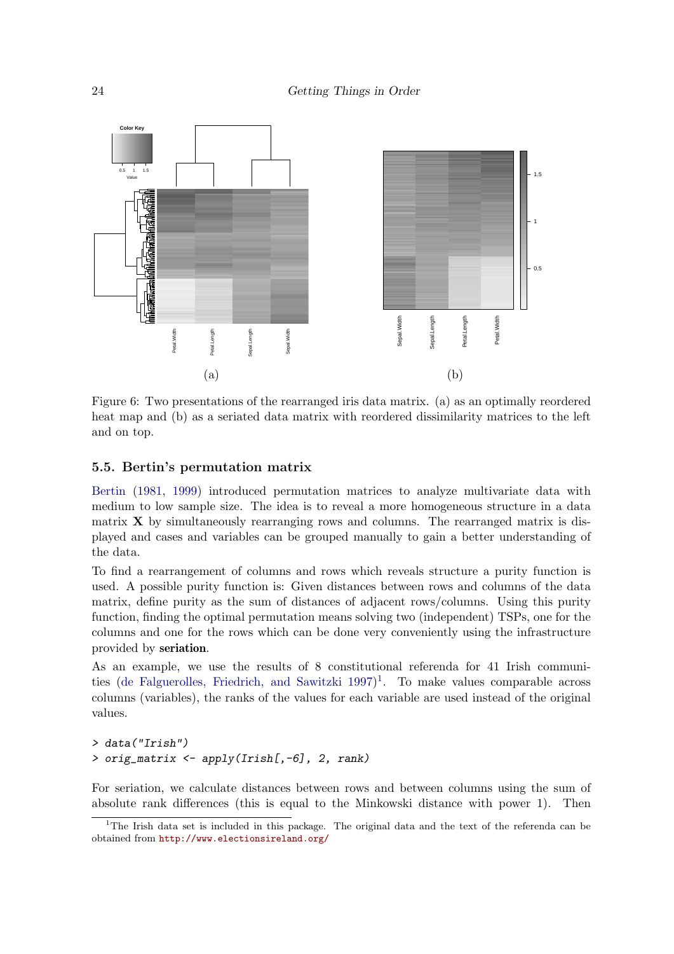

<span id="page-23-0"></span>Figure 6: Two presentations of the rearranged iris data matrix. (a) as an optimally reordered heat map and (b) as a seriated data matrix with reordered dissimilarity matrices to the left and on top.

#### 5.5. Bertin's permutation matrix

[Bertin](#page-33-6) [\(1981,](#page-33-6) [1999\)](#page-33-7) introduced permutation matrices to analyze multivariate data with medium to low sample size. The idea is to reveal a more homogeneous structure in a data matrix  $X$  by simultaneously rearranging rows and columns. The rearranged matrix is displayed and cases and variables can be grouped manually to gain a better understanding of the data.

To find a rearrangement of columns and rows which reveals structure a purity function is used. A possible purity function is: Given distances between rows and columns of the data matrix, define purity as the sum of distances of adjacent rows/columns. Using this purity function, finding the optimal permutation means solving two (independent) TSPs, one for the columns and one for the rows which can be done very conveniently using the infrastructure provided by seriation.

As an example, we use the results of 8 constitutional referenda for 41 Irish communities [\(de Falguerolles, Friedrich, and Sawitzki 1997\)](#page-34-14) [1](#page-23-1) . To make values comparable across columns (variables), the ranks of the values for each variable are used instead of the original values.

```
> data("Irish")
> orig_matrix <- apply(Irish[,-6], 2, rank)
```
For seriation, we calculate distances between rows and between columns using the sum of absolute rank differences (this is equal to the Minkowski distance with power 1). Then

<span id="page-23-1"></span><sup>&</sup>lt;sup>1</sup>The Irish data set is included in this package. The original data and the text of the referenda can be obtained from <http://www.electionsireland.org/>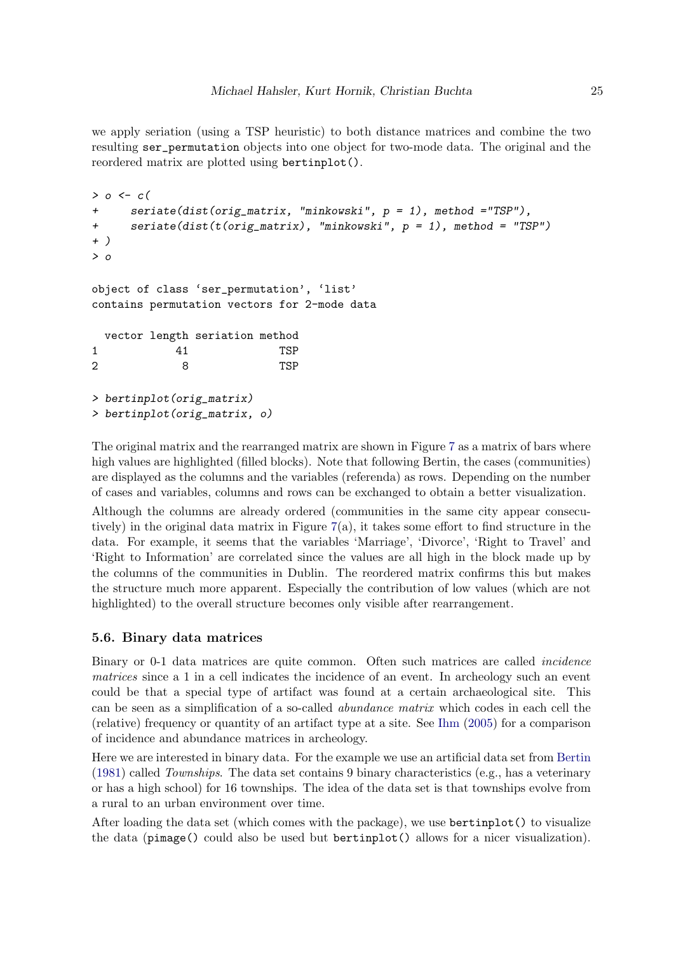we apply seriation (using a TSP heuristic) to both distance matrices and combine the two resulting ser\_permutation objects into one object for two-mode data. The original and the reordered matrix are plotted using bertinplot().

```
> o <- c(
+ seriate(dist(orig_matrix, "minkowski", p = 1), method ="TSP"),
+ seriate(dist(t(orig_matrix), "minkowski", p = 1), method = "TSP")
+ )
> o
object of class 'ser_permutation', 'list'
contains permutation vectors for 2-mode data
 vector length seriation method
1 41 TSP
2 8 TSP
> bertinplot(orig_matrix)
> bertinplot(orig_matrix, o)
```
The original matrix and the rearranged matrix are shown in Figure [7](#page-25-0) as a matrix of bars where high values are highlighted (filled blocks). Note that following Bertin, the cases (communities) are displayed as the columns and the variables (referenda) as rows. Depending on the number of cases and variables, columns and rows can be exchanged to obtain a better visualization.

Although the columns are already ordered (communities in the same city appear consecutively) in the original data matrix in Figure  $7(a)$  $7(a)$ , it takes some effort to find structure in the data. For example, it seems that the variables 'Marriage', 'Divorce', 'Right to Travel' and 'Right to Information' are correlated since the values are all high in the block made up by the columns of the communities in Dublin. The reordered matrix confirms this but makes the structure much more apparent. Especially the contribution of low values (which are not highlighted) to the overall structure becomes only visible after rearrangement.

# 5.6. Binary data matrices

Binary or 0-1 data matrices are quite common. Often such matrices are called incidence matrices since a 1 in a cell indicates the incidence of an event. In archeology such an event could be that a special type of artifact was found at a certain archaeological site. This can be seen as a simplification of a so-called abundance matrix which codes in each cell the (relative) frequency or quantity of an artifact type at a site. See [Ihm](#page-35-2) [\(2005\)](#page-35-2) for a comparison of incidence and abundance matrices in archeology.

Here we are interested in binary data. For the example we use an artificial data set from [Bertin](#page-33-6) [\(1981\)](#page-33-6) called Townships. The data set contains 9 binary characteristics (e.g., has a veterinary or has a high school) for 16 townships. The idea of the data set is that townships evolve from a rural to an urban environment over time.

After loading the data set (which comes with the package), we use bertinplot() to visualize the data (pimage() could also be used but bertinplot() allows for a nicer visualization).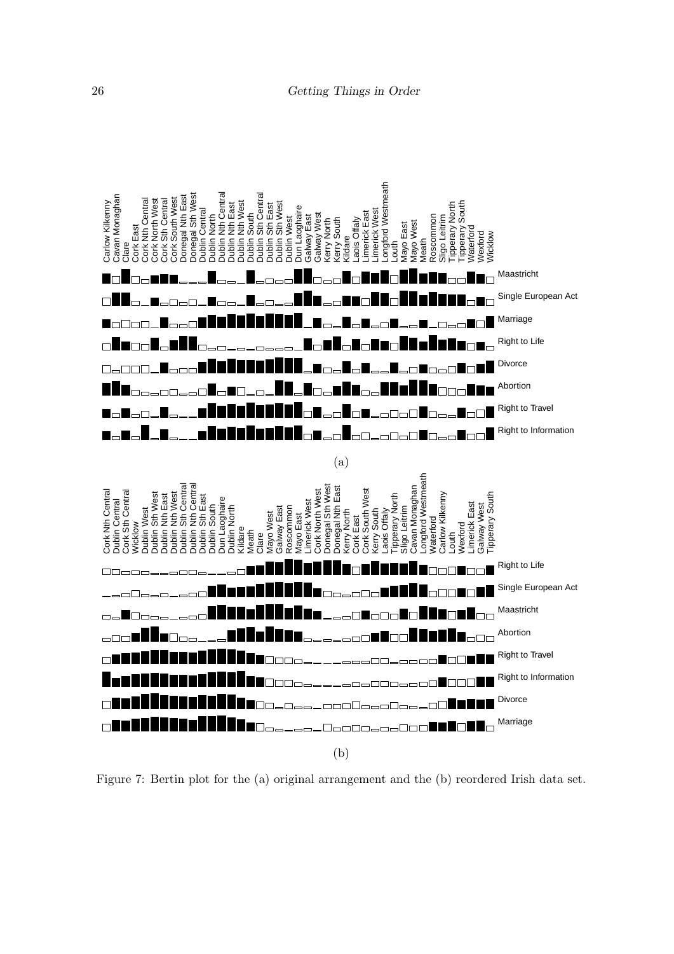

<span id="page-25-0"></span>Figure 7: Bertin plot for the (a) original arrangement and the (b) reordered Irish data set.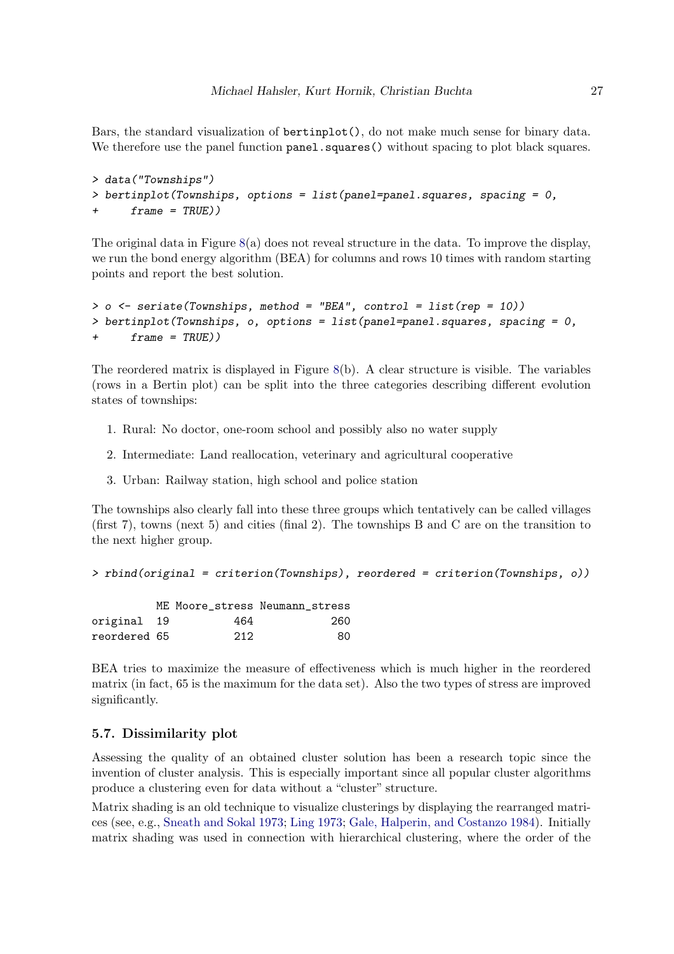Bars, the standard visualization of bertinplot(), do not make much sense for binary data. We therefore use the panel function panel. squares() without spacing to plot black squares.

```
> data("Townships")
> bertinplot(Townships, options = list(panel=panel.squares, spacing = 0,
+ frame = TRUE))
```
The original data in Figure  $8(a)$  $8(a)$  does not reveal structure in the data. To improve the display, we run the bond energy algorithm (BEA) for columns and rows 10 times with random starting points and report the best solution.

```
> o <- seriate(Townships, method = "BEA", control = list(rep = 10))
> bertinplot(Townships, o, options = list(panel=panel.squares, spacing = 0,
      + frame = TRUE))
```
The reordered matrix is displayed in Figure [8\(](#page-27-0)b). A clear structure is visible. The variables (rows in a Bertin plot) can be split into the three categories describing different evolution states of townships:

- 1. Rural: No doctor, one-room school and possibly also no water supply
- 2. Intermediate: Land reallocation, veterinary and agricultural cooperative
- 3. Urban: Railway station, high school and police station

The townships also clearly fall into these three groups which tentatively can be called villages (first 7), towns (next 5) and cities (final 2). The townships B and C are on the transition to the next higher group.

```
> rbind(original = criterion(Townships), reordered = criterion(Townships, o))
```

|              |     | ME Moore stress Neumann stress |
|--------------|-----|--------------------------------|
| original 19  | 464 | 260                            |
| reordered 65 | 212 | 80.                            |

BEA tries to maximize the measure of effectiveness which is much higher in the reordered matrix (in fact, 65 is the maximum for the data set). Also the two types of stress are improved significantly.

# 5.7. Dissimilarity plot

Assessing the quality of an obtained cluster solution has been a research topic since the invention of cluster analysis. This is especially important since all popular cluster algorithms produce a clustering even for data without a "cluster" structure.

Matrix shading is an old technique to visualize clusterings by displaying the rearranged matrices (see, e.g., [Sneath and Sokal 1973;](#page-36-5) [Ling 1973;](#page-35-11) [Gale, Halperin, and Costanzo 1984\)](#page-34-15). Initially matrix shading was used in connection with hierarchical clustering, where the order of the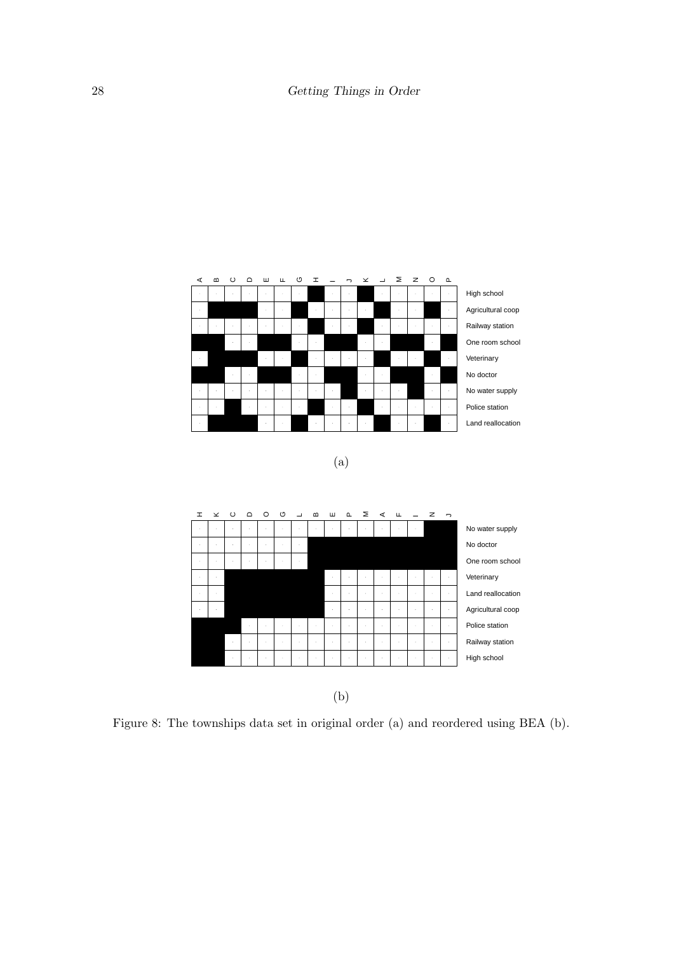

(a)



<span id="page-27-0"></span>Figure 8: The townships data set in original order (a) and reordered using BEA (b).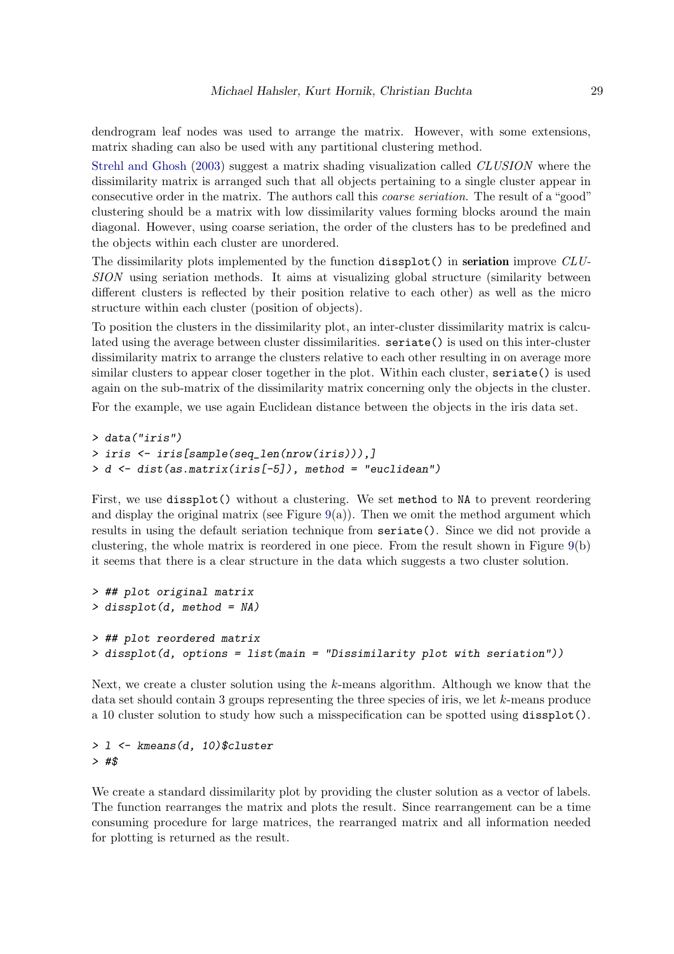dendrogram leaf nodes was used to arrange the matrix. However, with some extensions, matrix shading can also be used with any partitional clustering method.

[Strehl and Ghosh](#page-36-6) [\(2003\)](#page-36-6) suggest a matrix shading visualization called CLUSION where the dissimilarity matrix is arranged such that all objects pertaining to a single cluster appear in consecutive order in the matrix. The authors call this *coarse seriation*. The result of a "good" clustering should be a matrix with low dissimilarity values forming blocks around the main diagonal. However, using coarse seriation, the order of the clusters has to be predefined and the objects within each cluster are unordered.

The dissimilarity plots implemented by the function dissplot() in seriation improve  $CLU$ -SION using seriation methods. It aims at visualizing global structure (similarity between different clusters is reflected by their position relative to each other) as well as the micro structure within each cluster (position of objects).

To position the clusters in the dissimilarity plot, an inter-cluster dissimilarity matrix is calculated using the average between cluster dissimilarities. seriate() is used on this inter-cluster dissimilarity matrix to arrange the clusters relative to each other resulting in on average more similar clusters to appear closer together in the plot. Within each cluster, seriate() is used again on the sub-matrix of the dissimilarity matrix concerning only the objects in the cluster.

For the example, we use again Euclidean distance between the objects in the iris data set.

```
> data("iris")
> iris <- iris[sample(seq_len(nrow(iris))),]
> d <- dist(as.matrix(iris[-5]), method = "euclidean")
```
First, we use dissplot() without a clustering. We set method to NA to prevent reordering and display the original matrix (see Figure  $9(a)$  $9(a)$ ). Then we omit the method argument which results in using the default seriation technique from seriate(). Since we did not provide a clustering, the whole matrix is reordered in one piece. From the result shown in Figure [9\(](#page-29-0)b) it seems that there is a clear structure in the data which suggests a two cluster solution.

```
> ## plot original matrix
> dissplot(d, method = NA)
> ## plot reordered matrix
> dissplot(d, options = list(main = "Dissimilarity plot with seriation"))
```
Next, we create a cluster solution using the k-means algorithm. Although we know that the data set should contain 3 groups representing the three species of iris, we let k-means produce a 10 cluster solution to study how such a misspecification can be spotted using dissplot().

## *> l <- kmeans(d, 10)\$cluster > #\$*

We create a standard dissimilarity plot by providing the cluster solution as a vector of labels. The function rearranges the matrix and plots the result. Since rearrangement can be a time consuming procedure for large matrices, the rearranged matrix and all information needed for plotting is returned as the result.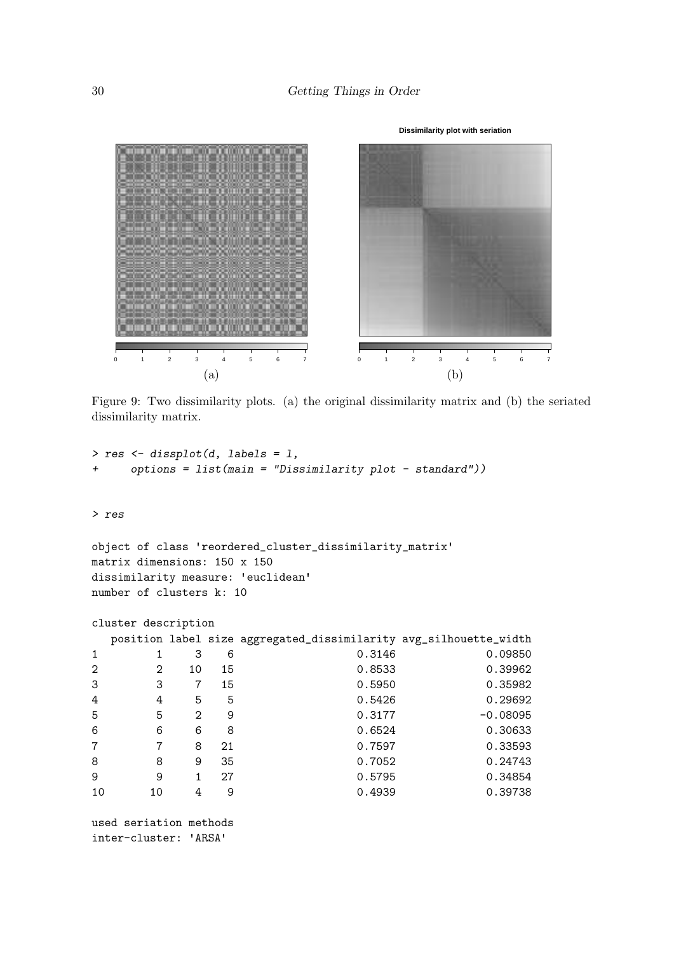

<span id="page-29-0"></span>Figure 9: Two dissimilarity plots. (a) the original dissimilarity matrix and (b) the seriated dissimilarity matrix.

```
> res <- dissplot(d, labels = l,
+ options = list(main = "Dissimilarity plot - standard"))
```
*> res*

```
object of class 'reordered_cluster_dissimilarity_matrix'
matrix dimensions: 150 x 150
dissimilarity measure: 'euclidean'
number of clusters k: 10
```

```
cluster description
```

|                |    |    |    | position label size aggregated_dissimilarity avg_silhouette_width |            |
|----------------|----|----|----|-------------------------------------------------------------------|------------|
| $\mathbf{1}$   |    | 3  | 6  | 0.3146                                                            | 0.09850    |
| $\mathfrak{D}$ | 2  | 10 | 15 | 0.8533                                                            | 0.39962    |
| 3              | 3  |    | 15 | 0.5950                                                            | 0.35982    |
| 4              | 4  | 5  | 5  | 0.5426                                                            | 0.29692    |
| 5              | 5  | 2  | 9  | 0.3177                                                            | $-0.08095$ |
| 6              | 6  | 6  | 8  | 0.6524                                                            | 0.30633    |
| $\overline{7}$ |    | 8  | 21 | 0.7597                                                            | 0.33593    |
| 8              | 8  | 9  | 35 | 0.7052                                                            | 0.24743    |
| 9              | 9  |    | 27 | 0.5795                                                            | 0.34854    |
| 10             | 10 | 4  | 9  | 0.4939                                                            | 0.39738    |

```
used seriation methods<br>inter-cluster: 'ARSA'
```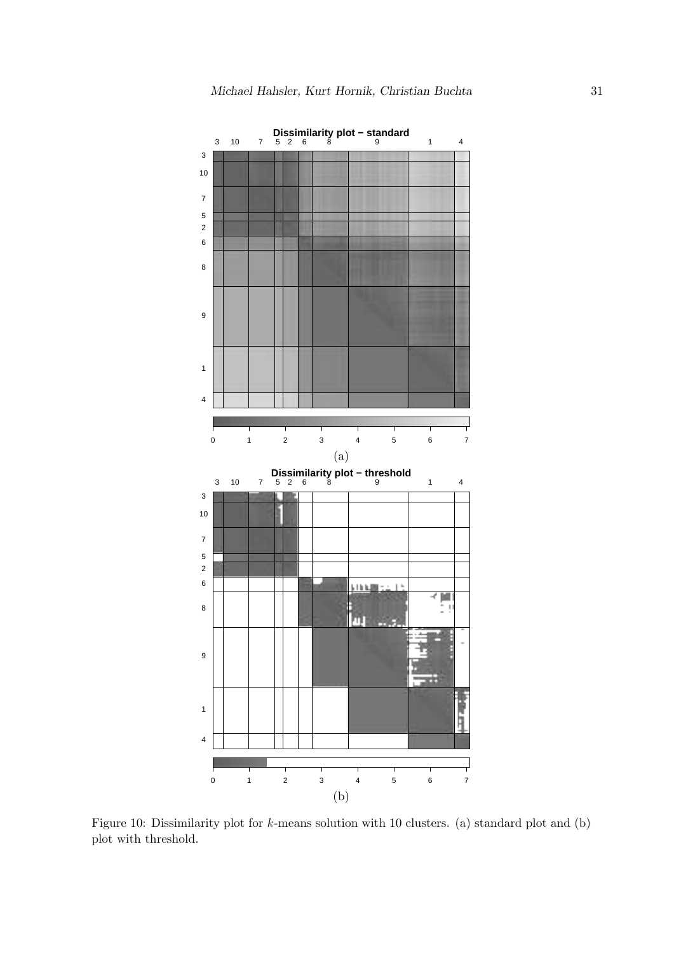

<span id="page-30-0"></span>Figure 10: Dissimilarity plot for k-means solution with 10 clusters. (a) standard plot and (b) plot with threshold.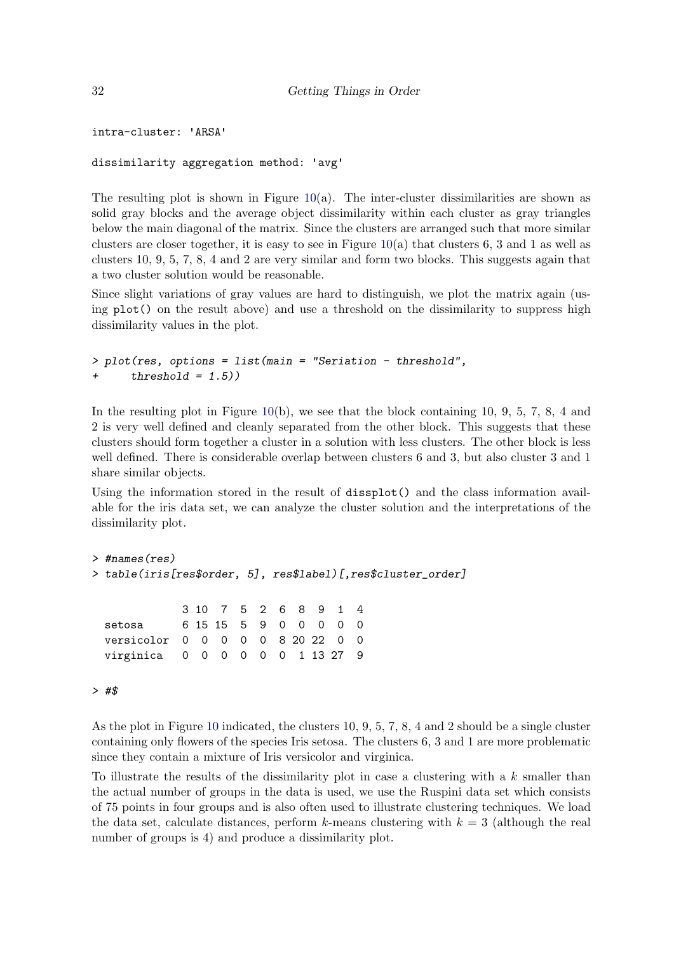```
intra-cluster: 'ARSA'
```

```
dissimilarity aggregation method: 'avg'
```
The resulting plot is shown in Figure  $10(a)$  $10(a)$ . The inter-cluster dissimilarities are shown as solid gray blocks and the average object dissimilarity within each cluster as gray triangles below the main diagonal of the matrix. Since the clusters are arranged such that more similar clusters are closer together, it is easy to see in Figure  $10(a)$  $10(a)$  that clusters 6, 3 and 1 as well as clusters 10, 9, 5, 7, 8, 4 and 2 are very similar and form two blocks. This suggests again that a two cluster solution would be reasonable.

Since slight variations of gray values are hard to distinguish, we plot the matrix again (using plot() on the result above) and use a threshold on the dissimilarity to suppress high dissimilarity values in the plot.

```
> plot(res, options = list(main = "Seriation - threshold",
+ threshold = 1.5))
```
In the resulting plot in Figure  $10(b)$  $10(b)$ , we see that the block containing 10, 9, 5, 7, 8, 4 and 2 is very well defined and cleanly separated from the other block. This suggests that these clusters should form together a cluster in a solution with less clusters. The other block is less well defined. There is considerable overlap between clusters 6 and 3, but also cluster 3 and 1 share similar objects.

Using the information stored in the result of dissplot() and the class information available for the iris data set, we can analyze the cluster solution and the interpretations of the dissimilarity plot.

```
> #names(res)
> table(iris[res$order, 5], res$label)[,res$cluster_order]
             3 10 7 5 2 6 8 9 1 4
```
setosa 6 15 15 5 9 0 0 0 0 0 versicolor 0 0 0 0 0 8 20 22 0 0 virginica 0 0 0 0 0 0 1 13 27 9

#### *> #\$*

As the plot in Figure [10](#page-30-0) indicated, the clusters 10, 9, 5, 7, 8, 4 and 2 should be a single cluster containing only flowers of the species Iris setosa. The clusters 6, 3 and 1 are more problematic since they contain a mixture of Iris versicolor and virginica.

To illustrate the results of the dissimilarity plot in case a clustering with a  $k$  smaller than the actual number of groups in the data is used, we use the Ruspini data set which consists of 75 points in four groups and is also often used to illustrate clustering techniques. We load the data set, calculate distances, perform k-means clustering with  $k = 3$  (although the real number of groups is 4) and produce a dissimilarity plot.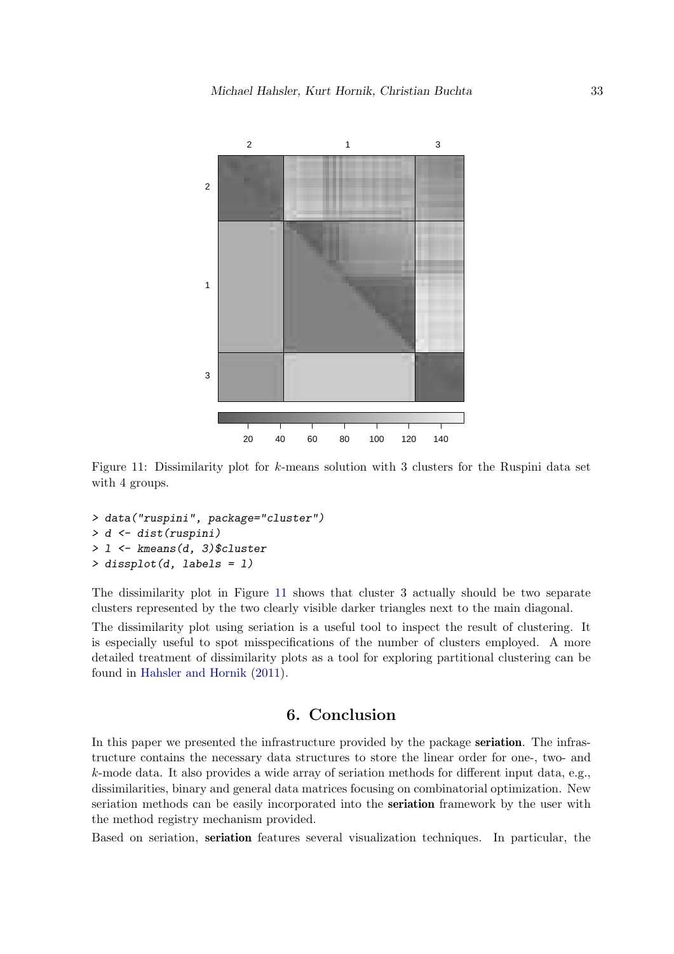

<span id="page-32-1"></span>Figure 11: Dissimilarity plot for k-means solution with 3 clusters for the Ruspini data set with 4 groups.

```
> data("ruspini", package="cluster")
> d <- dist(ruspini)
> l <- kmeans(d, 3)$cluster
> dissplot(d, labels = l)
```
The dissimilarity plot in Figure [11](#page-32-1) shows that cluster 3 actually should be two separate clusters represented by the two clearly visible darker triangles next to the main diagonal.

The dissimilarity plot using seriation is a useful tool to inspect the result of clustering. It is especially useful to spot misspecifications of the number of clusters employed. A more detailed treatment of dissimilarity plots as a tool for exploring partitional clustering can be found in [Hahsler and Hornik](#page-35-12) [\(2011\)](#page-35-12).

# 6. Conclusion

<span id="page-32-0"></span>In this paper we presented the infrastructure provided by the package seriation. The infrastructure contains the necessary data structures to store the linear order for one-, two- and k-mode data. It also provides a wide array of seriation methods for different input data, e.g., dissimilarities, binary and general data matrices focusing on combinatorial optimization. New seriation methods can be easily incorporated into the seriation framework by the user with the method registry mechanism provided.

Based on seriation, seriation features several visualization techniques. In particular, the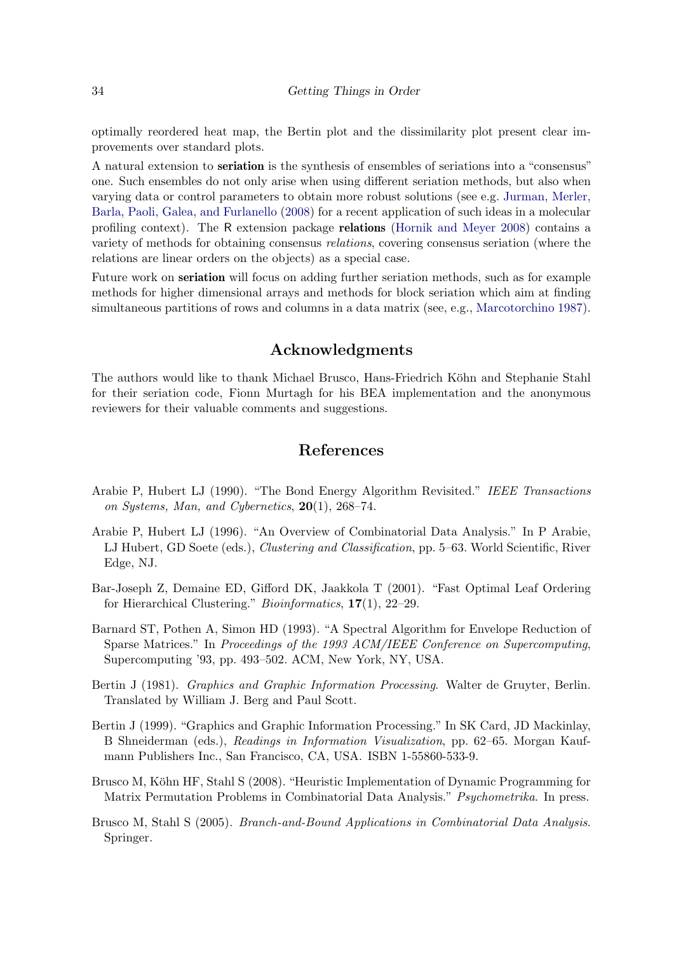optimally reordered heat map, the Bertin plot and the dissimilarity plot present clear improvements over standard plots.

A natural extension to seriation is the synthesis of ensembles of seriations into a "consensus" one. Such ensembles do not only arise when using different seriation methods, but also when varying data or control parameters to obtain more robust solutions (see e.g. [Jurman, Merler,](#page-35-13) [Barla, Paoli, Galea, and Furlanello](#page-35-13) [\(2008\)](#page-35-13) for a recent application of such ideas in a molecular profiling context). The R extension package relations [\(Hornik and Meyer 2008\)](#page-35-14) contains a variety of methods for obtaining consensus relations, covering consensus seriation (where the relations are linear orders on the objects) as a special case.

Future work on seriation will focus on adding further seriation methods, such as for example methods for higher dimensional arrays and methods for block seriation which aim at finding simultaneous partitions of rows and columns in a data matrix (see, e.g., [Marcotorchino 1987\)](#page-35-15).

# Acknowledgments

The authors would like to thank Michael Brusco, Hans-Friedrich Köhn and Stephanie Stahl for their seriation code, Fionn Murtagh for his BEA implementation and the anonymous reviewers for their valuable comments and suggestions.

# References

- <span id="page-33-3"></span>Arabie P, Hubert LJ (1990). "The Bond Energy Algorithm Revisited." IEEE Transactions on Systems, Man, and Cybernetics, 20(1), 268–74.
- <span id="page-33-0"></span>Arabie P, Hubert LJ (1996). "An Overview of Combinatorial Data Analysis." In P Arabie, LJ Hubert, GD Soete (eds.), Clustering and Classification, pp. 5–63. World Scientific, River Edge, NJ.
- <span id="page-33-4"></span>Bar-Joseph Z, Demaine ED, Gifford DK, Jaakkola T (2001). "Fast Optimal Leaf Ordering for Hierarchical Clustering." Bioinformatics, 17(1), 22–29.
- <span id="page-33-2"></span>Barnard ST, Pothen A, Simon HD (1993). "A Spectral Algorithm for Envelope Reduction of Sparse Matrices." In Proceedings of the 1993 ACM/IEEE Conference on Supercomputing, Supercomputing '93, pp. 493–502. ACM, New York, NY, USA.
- <span id="page-33-6"></span>Bertin J (1981). Graphics and Graphic Information Processing. Walter de Gruyter, Berlin. Translated by William J. Berg and Paul Scott.
- <span id="page-33-7"></span>Bertin J (1999). "Graphics and Graphic Information Processing." In SK Card, JD Mackinlay, B Shneiderman (eds.), Readings in Information Visualization, pp. 62–65. Morgan Kaufmann Publishers Inc., San Francisco, CA, USA. ISBN 1-55860-533-9.
- <span id="page-33-5"></span>Brusco M, Köhn HF, Stahl S (2008). "Heuristic Implementation of Dynamic Programming for Matrix Permutation Problems in Combinatorial Data Analysis." Psychometrika. In press.
- <span id="page-33-1"></span>Brusco M, Stahl S (2005). Branch-and-Bound Applications in Combinatorial Data Analysis. Springer.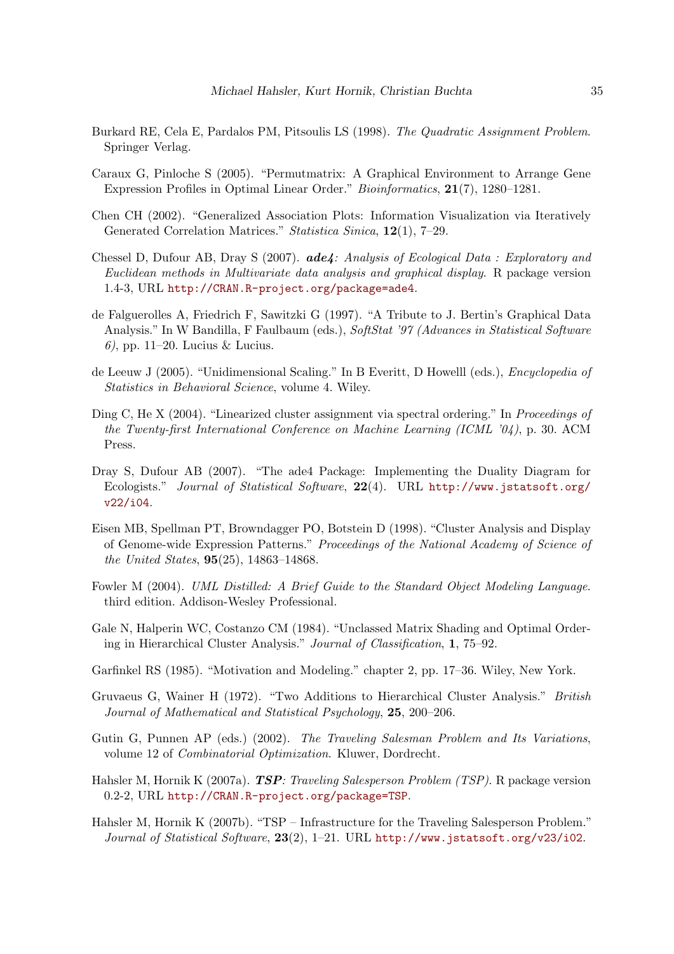- <span id="page-34-9"></span>Burkard RE, Cela E, Pardalos PM, Pitsoulis LS (1998). The Quadratic Assignment Problem. Springer Verlag.
- <span id="page-34-3"></span>Caraux G, Pinloche S (2005). "Permutmatrix: A Graphical Environment to Arrange Gene Expression Profiles in Optimal Linear Order." Bioinformatics, 21(7), 1280–1281.
- <span id="page-34-2"></span>Chen CH (2002). "Generalized Association Plots: Information Visualization via Iteratively Generated Correlation Matrices." Statistica Sinica, 12(1), 7–29.
- <span id="page-34-0"></span>Chessel D, Dufour AB, Dray S (2007). ade4: Analysis of Ecological Data : Exploratory and Euclidean methods in Multivariate data analysis and graphical display. R package version 1.4-3, URL <http://CRAN.R-project.org/package=ade4>.
- <span id="page-34-14"></span>de Falguerolles A, Friedrich F, Sawitzki G (1997). "A Tribute to J. Bertin's Graphical Data Analysis." In W Bandilla, F Faulbaum (eds.), SoftStat '97 (Advances in Statistical Software 6), pp. 11–20. Lucius & Lucius.
- <span id="page-34-5"></span>de Leeuw J (2005). "Unidimensional Scaling." In B Everitt, D Howelll (eds.), Encyclopedia of Statistics in Behavioral Science, volume 4. Wiley.
- <span id="page-34-8"></span>Ding C, He X (2004). "Linearized cluster assignment via spectral ordering." In Proceedings of the Twenty-first International Conference on Machine Learning (ICML '04), p. 30. ACM Press.
- <span id="page-34-1"></span>Dray S, Dufour AB (2007). "The ade4 Package: Implementing the Duality Diagram for Ecologists." Journal of Statistical Software, 22(4). URL [http://www.jstatsoft.org/](http://www.jstatsoft.org/v22/i04) [v22/i04](http://www.jstatsoft.org/v22/i04).
- <span id="page-34-13"></span>Eisen MB, Spellman PT, Browndagger PO, Botstein D (1998). "Cluster Analysis and Display of Genome-wide Expression Patterns." Proceedings of the National Academy of Science of the United States, 95(25), 14863–14868.
- <span id="page-34-10"></span>Fowler M (2004). UML Distilled: A Brief Guide to the Standard Object Modeling Language. third edition. Addison-Wesley Professional.
- <span id="page-34-15"></span>Gale N, Halperin WC, Costanzo CM (1984). "Unclassed Matrix Shading and Optimal Ordering in Hierarchical Cluster Analysis." Journal of Classification, 1, 75–92.
- <span id="page-34-6"></span>Garfinkel RS (1985). "Motivation and Modeling." chapter 2, pp. 17–36. Wiley, New York.
- <span id="page-34-7"></span>Gruvaeus G, Wainer H (1972). "Two Additions to Hierarchical Cluster Analysis." British Journal of Mathematical and Statistical Psychology, 25, 200–206.
- <span id="page-34-4"></span>Gutin G, Punnen AP (eds.) (2002). The Traveling Salesman Problem and Its Variations, volume 12 of Combinatorial Optimization. Kluwer, Dordrecht.
- <span id="page-34-12"></span>Hahsler M, Hornik K (2007a). **TSP**: Traveling Salesperson Problem (TSP). R package version 0.2-2, URL <http://CRAN.R-project.org/package=TSP>.
- <span id="page-34-11"></span>Hahsler M, Hornik K (2007b). "TSP – Infrastructure for the Traveling Salesperson Problem." Journal of Statistical Software, 23(2), 1-21. URL <http://www.jstatsoft.org/v23/i02>.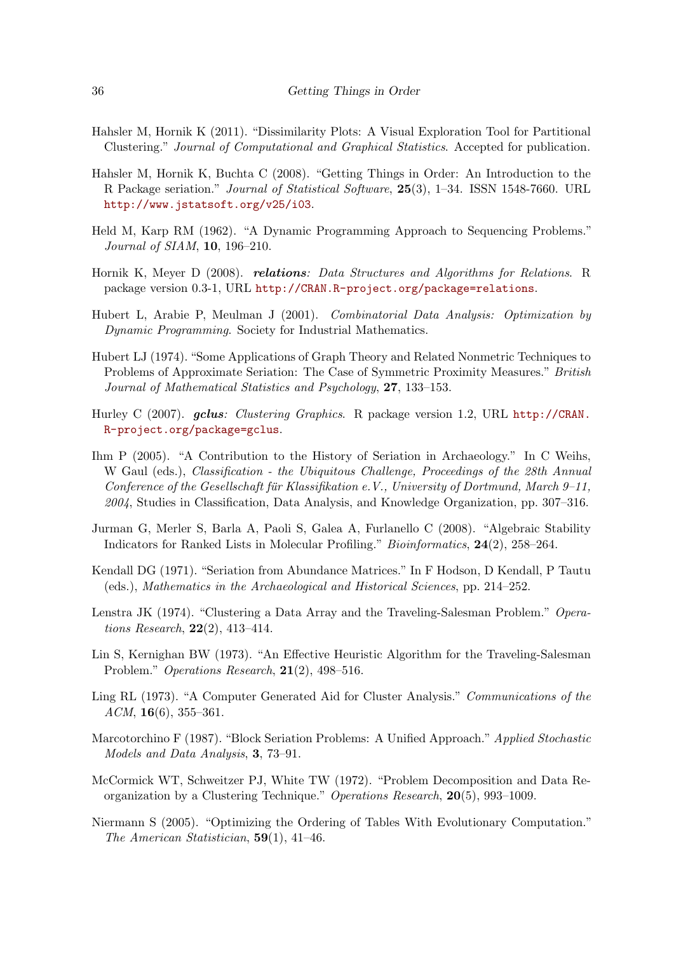- <span id="page-35-12"></span>Hahsler M, Hornik K (2011). "Dissimilarity Plots: A Visual Exploration Tool for Partitional Clustering." Journal of Computational and Graphical Statistics. Accepted for publication.
- <span id="page-35-3"></span>Hahsler M, Hornik K, Buchta C (2008). "Getting Things in Order: An Introduction to the R Package seriation." Journal of Statistical Software, 25(3), 1–34. ISSN 1548-7660. URL <http://www.jstatsoft.org/v25/i03>.
- <span id="page-35-7"></span>Held M, Karp RM (1962). "A Dynamic Programming Approach to Sequencing Problems." Journal of SIAM, 10, 196–210.
- <span id="page-35-14"></span>Hornik K, Meyer D (2008). *relations: Data Structures and Algorithms for Relations.* R package version 0.3-1, URL <http://CRAN.R-project.org/package=relations>.
- <span id="page-35-0"></span>Hubert L, Arabie P, Meulman J (2001). Combinatorial Data Analysis: Optimization by Dynamic Programming. Society for Industrial Mathematics.
- <span id="page-35-4"></span>Hubert LJ (1974). "Some Applications of Graph Theory and Related Nonmetric Techniques to Problems of Approximate Seriation: The Case of Symmetric Proximity Measures." British Journal of Mathematical Statistics and Psychology, 27, 133–153.
- <span id="page-35-10"></span>Hurley C (2007). gclus: Clustering Graphics. R package version 1.2, URL [http://CRAN.](http://CRAN.R-project.org/package=gclus) [R-project.org/package=gclus](http://CRAN.R-project.org/package=gclus).
- <span id="page-35-2"></span>Ihm P (2005). "A Contribution to the History of Seriation in Archaeology." In C Weihs, W Gaul (eds.), Classification - the Ubiquitous Challenge, Proceedings of the 28th Annual Conference of the Gesellschaft für Klassifikation e.V., University of Dortmund, March  $9-11$ , 2004, Studies in Classification, Data Analysis, and Knowledge Organization, pp. 307–316.
- <span id="page-35-13"></span>Jurman G, Merler S, Barla A, Paoli S, Galea A, Furlanello C (2008). "Algebraic Stability Indicators for Ranked Lists in Molecular Profiling." Bioinformatics, 24(2), 258–264.
- <span id="page-35-1"></span>Kendall DG (1971). "Seriation from Abundance Matrices." In F Hodson, D Kendall, P Tautu (eds.), Mathematics in the Archaeological and Historical Sciences, pp. 214–252.
- <span id="page-35-9"></span>Lenstra JK (1974). "Clustering a Data Array and the Traveling-Salesman Problem." Operations Research, 22(2), 413–414.
- <span id="page-35-8"></span>Lin S, Kernighan BW (1973). "An Effective Heuristic Algorithm for the Traveling-Salesman Problem." Operations Research, 21(2), 498–516.
- <span id="page-35-11"></span>Ling RL (1973). "A Computer Generated Aid for Cluster Analysis." Communications of the  $ACM$ , 16(6), 355–361.
- <span id="page-35-15"></span>Marcotorchino F (1987). "Block Seriation Problems: A Unified Approach." Applied Stochastic Models and Data Analysis, 3, 73–91.
- <span id="page-35-5"></span>McCormick WT, Schweitzer PJ, White TW (1972). "Problem Decomposition and Data Reorganization by a Clustering Technique." Operations Research, 20(5), 993–1009.
- <span id="page-35-6"></span>Niermann S (2005). "Optimizing the Ordering of Tables With Evolutionary Computation." The American Statistician, 59(1), 41–46.